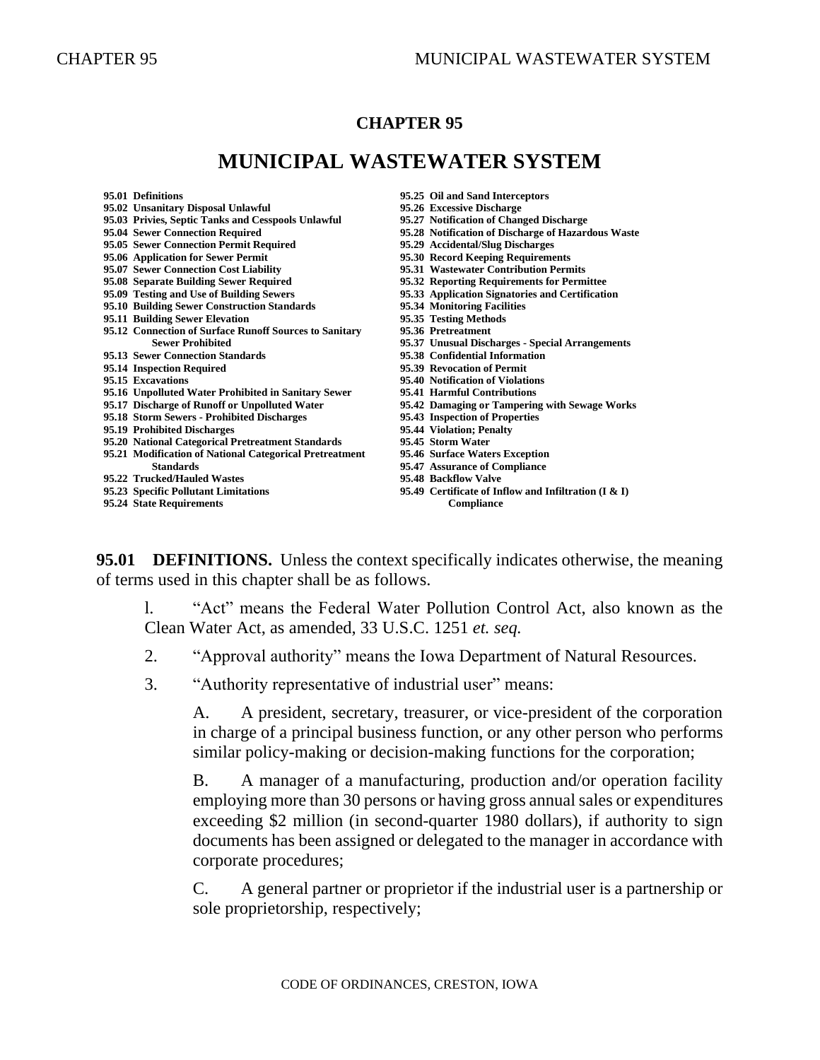### **CHAPTER 95**

# **MUNICIPAL WASTEWATER SYSTEM**

| 95.01 Definitions                                       | 95.25 Oil and Sand Interceptors                        |
|---------------------------------------------------------|--------------------------------------------------------|
| 95.02 Unsanitary Disposal Unlawful                      | 95.26 Excessive Discharge                              |
| 95.03 Privies, Septic Tanks and Cesspools Unlawful      | 95.27 Notification of Changed Discharge                |
| 95.04 Sewer Connection Required                         | 95.28 Notification of Discharge of Hazardous Waste     |
| 95.05 Sewer Connection Permit Required                  | 95.29 Accidental/Slug Discharges                       |
| 95.06 Application for Sewer Permit                      | 95.30 Record Keeping Requirements                      |
| 95.07 Sewer Connection Cost Liability                   | 95.31 Wastewater Contribution Permits                  |
| 95.08 Separate Building Sewer Required                  | 95.32 Reporting Requirements for Permittee             |
| 95.09 Testing and Use of Building Sewers                | 95.33 Application Signatories and Certification        |
| 95.10 Building Sewer Construction Standards             | 95.34 Monitoring Facilities                            |
| 95.11 Building Sewer Elevation                          | 95.35 Testing Methods                                  |
| 95.12 Connection of Surface Runoff Sources to Sanitary  | 95.36 Pretreatment                                     |
| <b>Sewer Prohibited</b>                                 | 95.37 Unusual Discharges - Special Arrangements        |
| 95.13 Sewer Connection Standards                        | 95.38 Confidential Information                         |
| 95.14 Inspection Required                               | 95.39 Revocation of Permit                             |
| 95.15 Excavations                                       | 95.40 Notification of Violations                       |
| 95.16 Unpolluted Water Prohibited in Sanitary Sewer     | 95.41 Harmful Contributions                            |
| 95.17 Discharge of Runoff or Unpolluted Water           | 95.42 Damaging or Tampering with Sewage Works          |
| 95.18 Storm Sewers - Prohibited Discharges              | 95.43 Inspection of Properties                         |
| 95.19 Prohibited Discharges                             | 95.44 Violation; Penalty                               |
| 95.20 National Categorical Pretreatment Standards       | 95.45 Storm Water                                      |
| 95.21 Modification of National Categorical Pretreatment | 95.46 Surface Waters Exception                         |
| <b>Standards</b>                                        | 95.47 Assurance of Compliance                          |
| 95.22 Trucked/Hauled Wastes                             | 95.48 Backflow Valve                                   |
| 95.23 Specific Pollutant Limitations                    | 95.49 Certificate of Inflow and Infiltration $(I & I)$ |
| 95.24 State Requirements                                | <b>Compliance</b>                                      |
|                                                         |                                                        |

**95.01 DEFINITIONS.** Unless the context specifically indicates otherwise, the meaning of terms used in this chapter shall be as follows.

l. "Act" means the Federal Water Pollution Control Act, also known as the Clean Water Act, as amended, 33 U.S.C. 1251 *et. seq.*

- 2. "Approval authority" means the Iowa Department of Natural Resources.
- 3. "Authority representative of industrial user" means:

A. A president, secretary, treasurer, or vice-president of the corporation in charge of a principal business function, or any other person who performs similar policy-making or decision-making functions for the corporation;

B. A manager of a manufacturing, production and/or operation facility employing more than 30 persons or having gross annual sales or expenditures exceeding \$2 million (in second-quarter 1980 dollars), if authority to sign documents has been assigned or delegated to the manager in accordance with corporate procedures;

C. A general partner or proprietor if the industrial user is a partnership or sole proprietorship, respectively;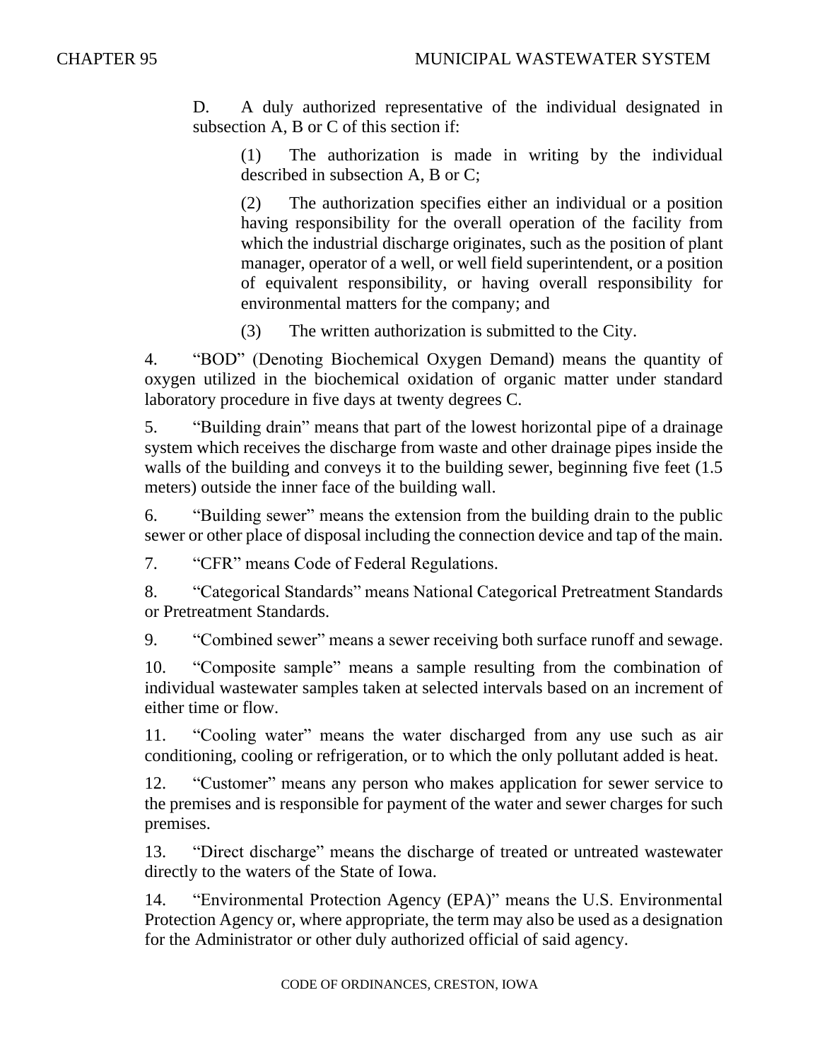D. A duly authorized representative of the individual designated in subsection A, B or C of this section if:

(1) The authorization is made in writing by the individual described in subsection A, B or C;

(2) The authorization specifies either an individual or a position having responsibility for the overall operation of the facility from which the industrial discharge originates, such as the position of plant manager, operator of a well, or well field superintendent, or a position of equivalent responsibility, or having overall responsibility for environmental matters for the company; and

(3) The written authorization is submitted to the City.

4. "BOD" (Denoting Biochemical Oxygen Demand) means the quantity of oxygen utilized in the biochemical oxidation of organic matter under standard laboratory procedure in five days at twenty degrees C.

5. "Building drain" means that part of the lowest horizontal pipe of a drainage system which receives the discharge from waste and other drainage pipes inside the walls of the building and conveys it to the building sewer, beginning five feet (1.5) meters) outside the inner face of the building wall.

6. "Building sewer" means the extension from the building drain to the public sewer or other place of disposal including the connection device and tap of the main.

7. "CFR" means Code of Federal Regulations.

8. "Categorical Standards" means National Categorical Pretreatment Standards or Pretreatment Standards.

9. "Combined sewer" means a sewer receiving both surface runoff and sewage.

10. "Composite sample" means a sample resulting from the combination of individual wastewater samples taken at selected intervals based on an increment of either time or flow.

11. "Cooling water" means the water discharged from any use such as air conditioning, cooling or refrigeration, or to which the only pollutant added is heat.

12. "Customer" means any person who makes application for sewer service to the premises and is responsible for payment of the water and sewer charges for such premises.

13. "Direct discharge" means the discharge of treated or untreated wastewater directly to the waters of the State of Iowa.

14. "Environmental Protection Agency (EPA)" means the U.S. Environmental Protection Agency or, where appropriate, the term may also be used as a designation for the Administrator or other duly authorized official of said agency.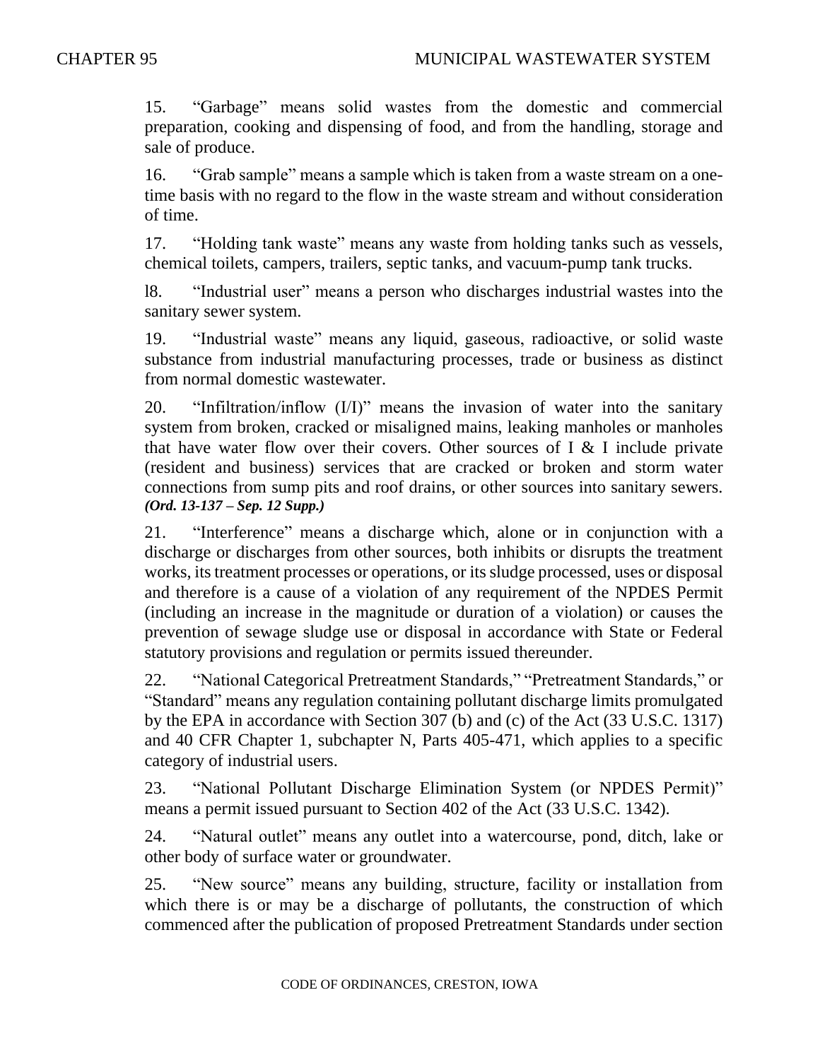15. "Garbage" means solid wastes from the domestic and commercial preparation, cooking and dispensing of food, and from the handling, storage and sale of produce.

16. "Grab sample" means a sample which is taken from a waste stream on a onetime basis with no regard to the flow in the waste stream and without consideration of time.

17. "Holding tank waste" means any waste from holding tanks such as vessels, chemical toilets, campers, trailers, septic tanks, and vacuum-pump tank trucks.

l8. "Industrial user" means a person who discharges industrial wastes into the sanitary sewer system.

19. "Industrial waste" means any liquid, gaseous, radioactive, or solid waste substance from industrial manufacturing processes, trade or business as distinct from normal domestic wastewater.

20. "Infiltration/inflow (I/I)" means the invasion of water into the sanitary system from broken, cracked or misaligned mains, leaking manholes or manholes that have water flow over their covers. Other sources of  $I \& I$  include private (resident and business) services that are cracked or broken and storm water connections from sump pits and roof drains, or other sources into sanitary sewers. *(Ord. 13-137 – Sep. 12 Supp.)*

21. "Interference" means a discharge which, alone or in conjunction with a discharge or discharges from other sources, both inhibits or disrupts the treatment works, its treatment processes or operations, or its sludge processed, uses or disposal and therefore is a cause of a violation of any requirement of the NPDES Permit (including an increase in the magnitude or duration of a violation) or causes the prevention of sewage sludge use or disposal in accordance with State or Federal statutory provisions and regulation or permits issued thereunder.

22. "National Categorical Pretreatment Standards," "Pretreatment Standards," or "Standard" means any regulation containing pollutant discharge limits promulgated by the EPA in accordance with Section 307 (b) and (c) of the Act (33 U.S.C. 1317) and 40 CFR Chapter 1, subchapter N, Parts 405-471, which applies to a specific category of industrial users.

23. "National Pollutant Discharge Elimination System (or NPDES Permit)" means a permit issued pursuant to Section 402 of the Act (33 U.S.C. 1342).

24. "Natural outlet" means any outlet into a watercourse, pond, ditch, lake or other body of surface water or groundwater.

25. "New source" means any building, structure, facility or installation from which there is or may be a discharge of pollutants, the construction of which commenced after the publication of proposed Pretreatment Standards under section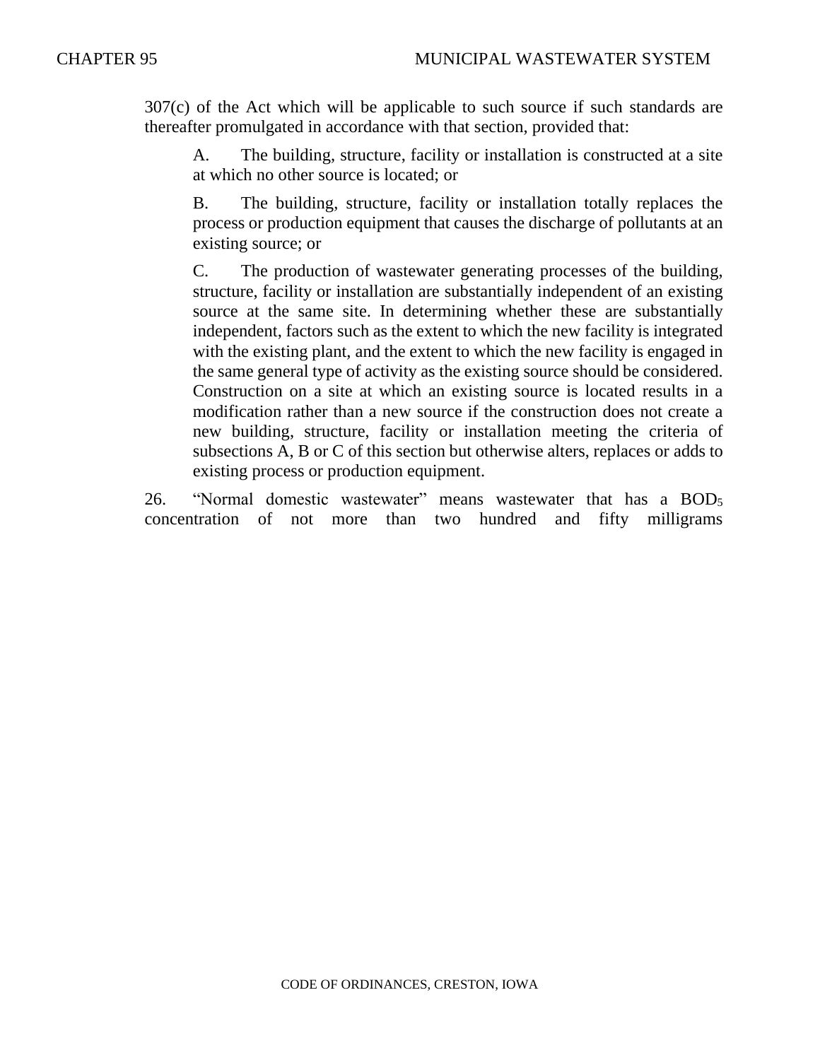307(c) of the Act which will be applicable to such source if such standards are thereafter promulgated in accordance with that section, provided that:

A. The building, structure, facility or installation is constructed at a site at which no other source is located; or

B. The building, structure, facility or installation totally replaces the process or production equipment that causes the discharge of pollutants at an existing source; or

C. The production of wastewater generating processes of the building, structure, facility or installation are substantially independent of an existing source at the same site. In determining whether these are substantially independent, factors such as the extent to which the new facility is integrated with the existing plant, and the extent to which the new facility is engaged in the same general type of activity as the existing source should be considered. Construction on a site at which an existing source is located results in a modification rather than a new source if the construction does not create a new building, structure, facility or installation meeting the criteria of subsections A, B or C of this section but otherwise alters, replaces or adds to existing process or production equipment.

26. "Normal domestic wastewater" means wastewater that has a BOD<sub>5</sub> concentration of not more than two hundred and fifty milligrams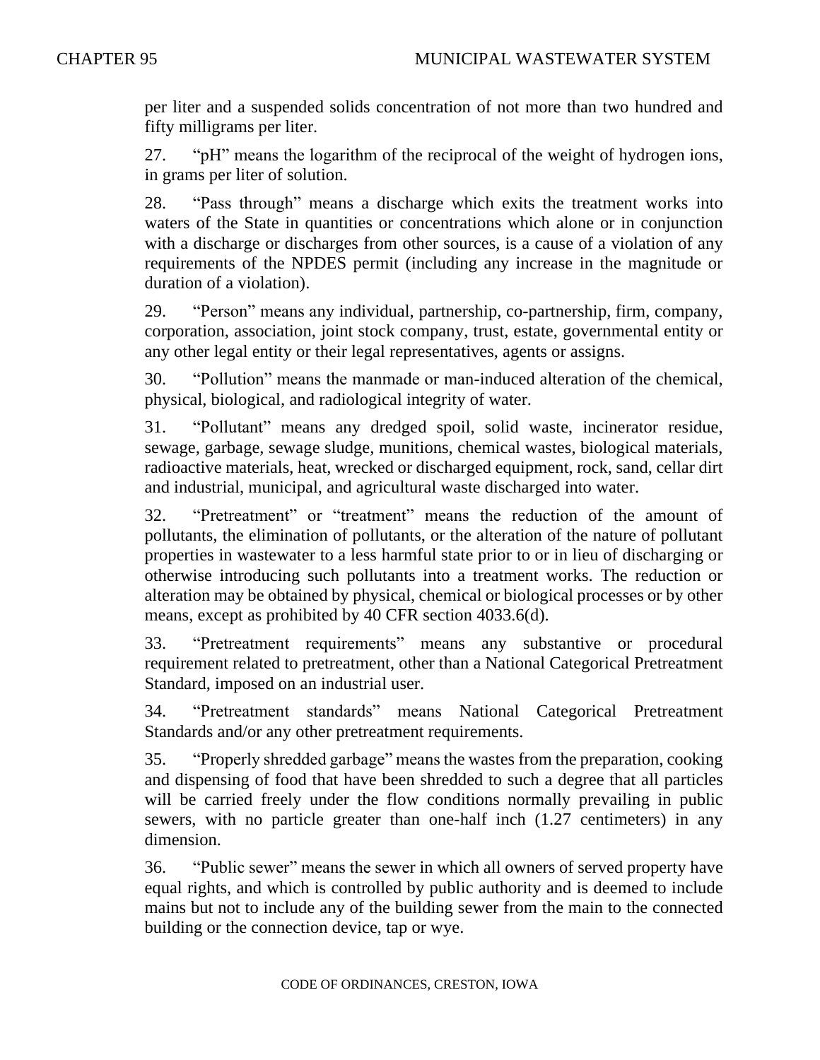per liter and a suspended solids concentration of not more than two hundred and fifty milligrams per liter.

27. "pH" means the logarithm of the reciprocal of the weight of hydrogen ions, in grams per liter of solution.

28. "Pass through" means a discharge which exits the treatment works into waters of the State in quantities or concentrations which alone or in conjunction with a discharge or discharges from other sources, is a cause of a violation of any requirements of the NPDES permit (including any increase in the magnitude or duration of a violation).

29. "Person" means any individual, partnership, co-partnership, firm, company, corporation, association, joint stock company, trust, estate, governmental entity or any other legal entity or their legal representatives, agents or assigns.

30. "Pollution" means the manmade or man-induced alteration of the chemical, physical, biological, and radiological integrity of water.

31. "Pollutant" means any dredged spoil, solid waste, incinerator residue, sewage, garbage, sewage sludge, munitions, chemical wastes, biological materials, radioactive materials, heat, wrecked or discharged equipment, rock, sand, cellar dirt and industrial, municipal, and agricultural waste discharged into water.

32. "Pretreatment" or "treatment" means the reduction of the amount of pollutants, the elimination of pollutants, or the alteration of the nature of pollutant properties in wastewater to a less harmful state prior to or in lieu of discharging or otherwise introducing such pollutants into a treatment works. The reduction or alteration may be obtained by physical, chemical or biological processes or by other means, except as prohibited by 40 CFR section 4033.6(d).

33. "Pretreatment requirements" means any substantive or procedural requirement related to pretreatment, other than a National Categorical Pretreatment Standard, imposed on an industrial user.

34. "Pretreatment standards" means National Categorical Pretreatment Standards and/or any other pretreatment requirements.

35. "Properly shredded garbage" means the wastes from the preparation, cooking and dispensing of food that have been shredded to such a degree that all particles will be carried freely under the flow conditions normally prevailing in public sewers, with no particle greater than one-half inch (1.27 centimeters) in any dimension.

36. "Public sewer" means the sewer in which all owners of served property have equal rights, and which is controlled by public authority and is deemed to include mains but not to include any of the building sewer from the main to the connected building or the connection device, tap or wye.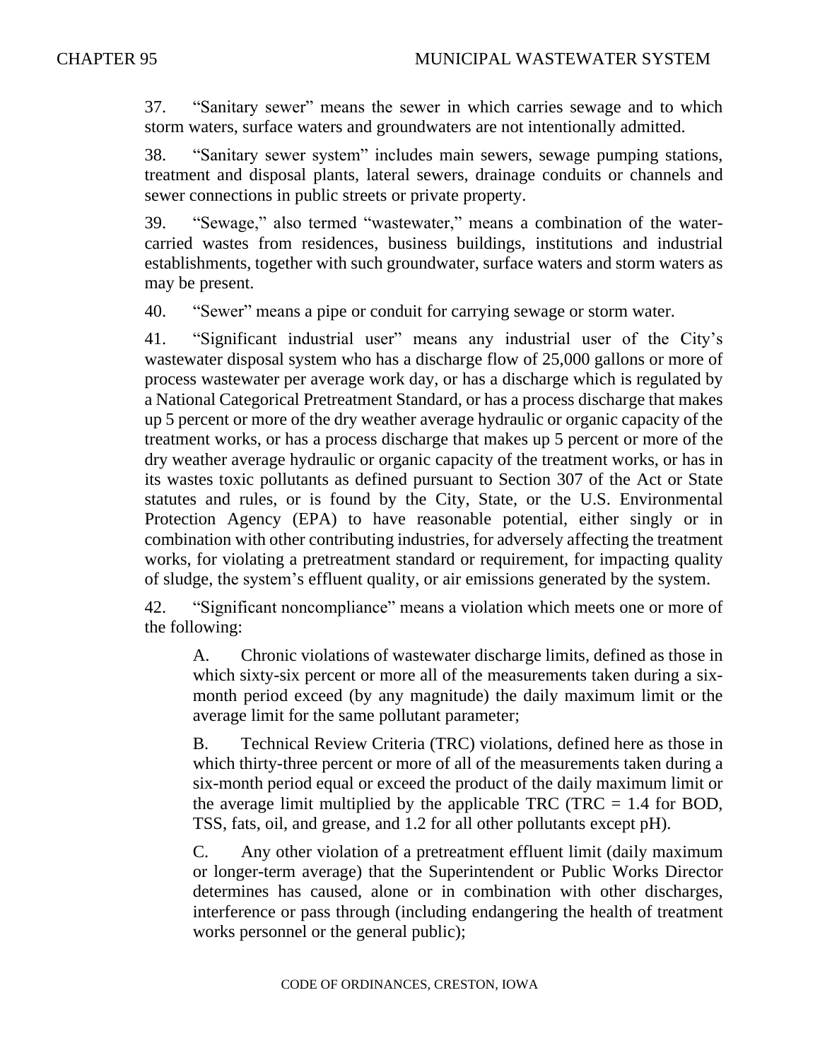37. "Sanitary sewer" means the sewer in which carries sewage and to which storm waters, surface waters and groundwaters are not intentionally admitted.

38. "Sanitary sewer system" includes main sewers, sewage pumping stations, treatment and disposal plants, lateral sewers, drainage conduits or channels and sewer connections in public streets or private property.

39. "Sewage," also termed "wastewater," means a combination of the watercarried wastes from residences, business buildings, institutions and industrial establishments, together with such groundwater, surface waters and storm waters as may be present.

40. "Sewer" means a pipe or conduit for carrying sewage or storm water.

41. "Significant industrial user" means any industrial user of the City's wastewater disposal system who has a discharge flow of 25,000 gallons or more of process wastewater per average work day, or has a discharge which is regulated by a National Categorical Pretreatment Standard, or has a process discharge that makes up 5 percent or more of the dry weather average hydraulic or organic capacity of the treatment works, or has a process discharge that makes up 5 percent or more of the dry weather average hydraulic or organic capacity of the treatment works, or has in its wastes toxic pollutants as defined pursuant to Section 307 of the Act or State statutes and rules, or is found by the City, State, or the U.S. Environmental Protection Agency (EPA) to have reasonable potential, either singly or in combination with other contributing industries, for adversely affecting the treatment works, for violating a pretreatment standard or requirement, for impacting quality of sludge, the system's effluent quality, or air emissions generated by the system.

42. "Significant noncompliance" means a violation which meets one or more of the following:

A. Chronic violations of wastewater discharge limits, defined as those in which sixty-six percent or more all of the measurements taken during a sixmonth period exceed (by any magnitude) the daily maximum limit or the average limit for the same pollutant parameter;

B. Technical Review Criteria (TRC) violations, defined here as those in which thirty-three percent or more of all of the measurements taken during a six-month period equal or exceed the product of the daily maximum limit or the average limit multiplied by the applicable TRC (TRC  $= 1.4$  for BOD, TSS, fats, oil, and grease, and 1.2 for all other pollutants except pH).

C. Any other violation of a pretreatment effluent limit (daily maximum or longer-term average) that the Superintendent or Public Works Director determines has caused, alone or in combination with other discharges, interference or pass through (including endangering the health of treatment works personnel or the general public);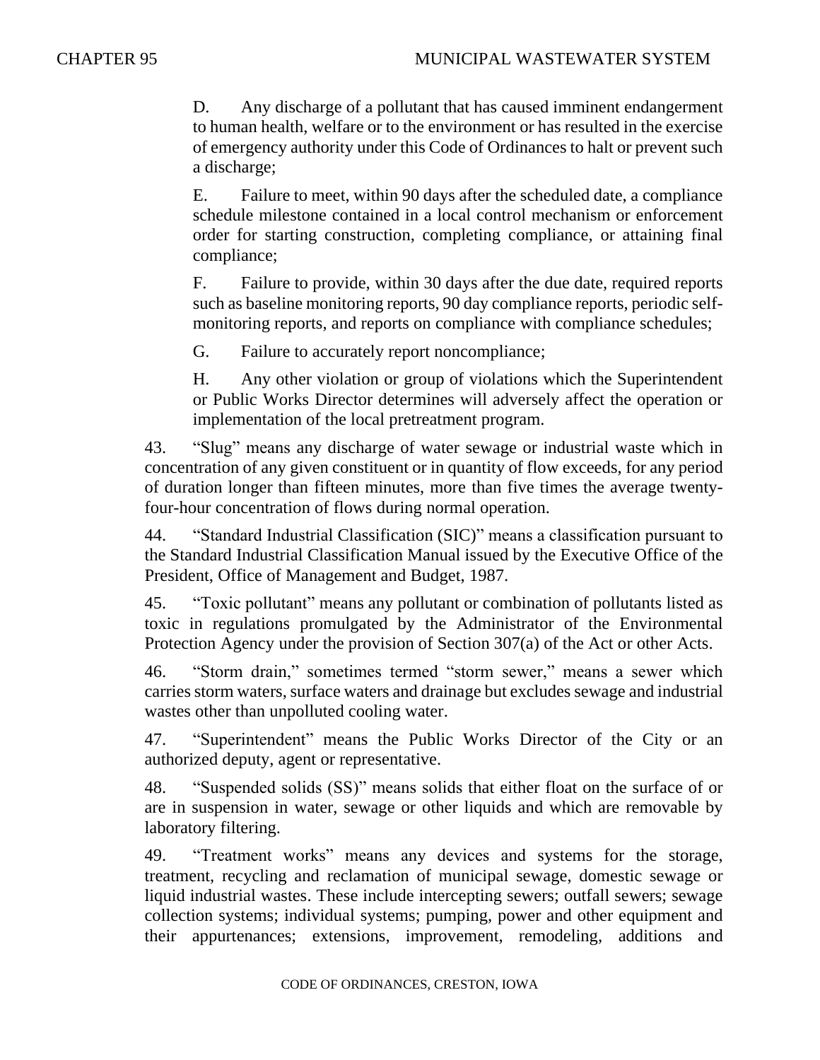D. Any discharge of a pollutant that has caused imminent endangerment to human health, welfare or to the environment or has resulted in the exercise of emergency authority under this Code of Ordinances to halt or prevent such a discharge;

E. Failure to meet, within 90 days after the scheduled date, a compliance schedule milestone contained in a local control mechanism or enforcement order for starting construction, completing compliance, or attaining final compliance;

F. Failure to provide, within 30 days after the due date, required reports such as baseline monitoring reports, 90 day compliance reports, periodic selfmonitoring reports, and reports on compliance with compliance schedules;

G. Failure to accurately report noncompliance;

H. Any other violation or group of violations which the Superintendent or Public Works Director determines will adversely affect the operation or implementation of the local pretreatment program.

43. "Slug" means any discharge of water sewage or industrial waste which in concentration of any given constituent or in quantity of flow exceeds, for any period of duration longer than fifteen minutes, more than five times the average twentyfour-hour concentration of flows during normal operation.

44. "Standard Industrial Classification (SIC)" means a classification pursuant to the Standard Industrial Classification Manual issued by the Executive Office of the President, Office of Management and Budget, 1987.

45. "Toxic pollutant" means any pollutant or combination of pollutants listed as toxic in regulations promulgated by the Administrator of the Environmental Protection Agency under the provision of Section 307(a) of the Act or other Acts.

46. "Storm drain," sometimes termed "storm sewer," means a sewer which carries storm waters, surface waters and drainage but excludes sewage and industrial wastes other than unpolluted cooling water.

47. "Superintendent" means the Public Works Director of the City or an authorized deputy, agent or representative.

48. "Suspended solids (SS)" means solids that either float on the surface of or are in suspension in water, sewage or other liquids and which are removable by laboratory filtering.

49. "Treatment works" means any devices and systems for the storage, treatment, recycling and reclamation of municipal sewage, domestic sewage or liquid industrial wastes. These include intercepting sewers; outfall sewers; sewage collection systems; individual systems; pumping, power and other equipment and their appurtenances; extensions, improvement, remodeling, additions and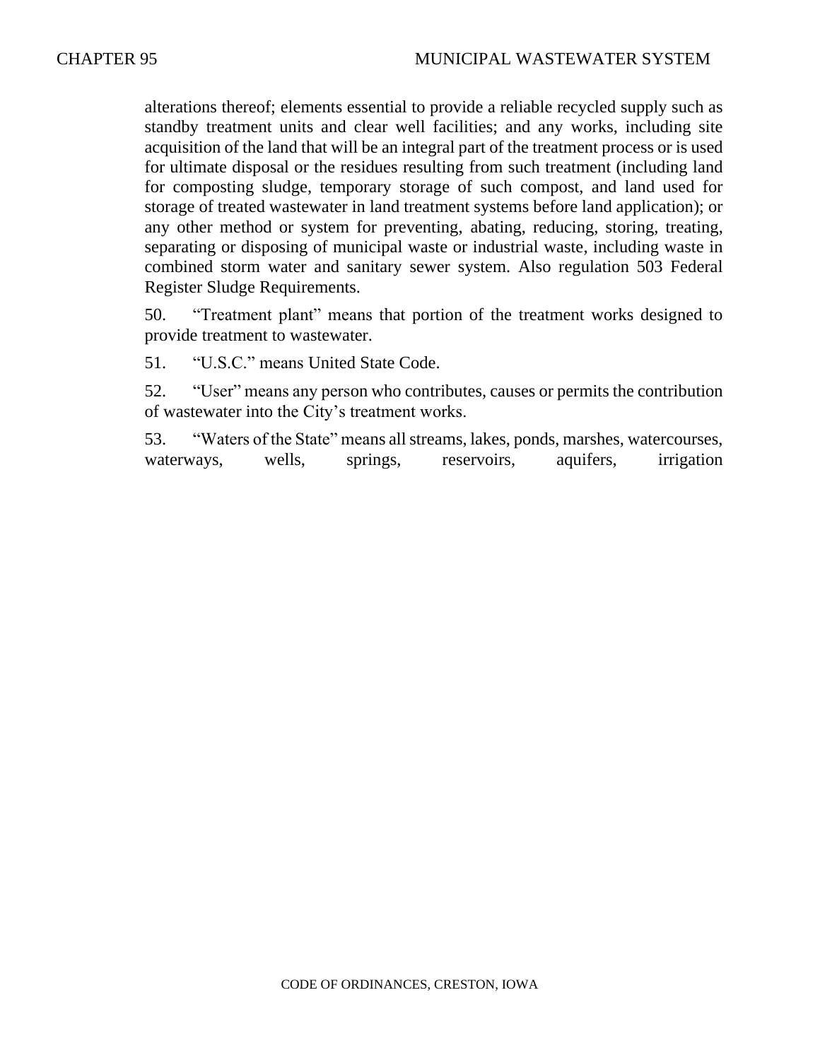alterations thereof; elements essential to provide a reliable recycled supply such as standby treatment units and clear well facilities; and any works, including site acquisition of the land that will be an integral part of the treatment process or is used for ultimate disposal or the residues resulting from such treatment (including land for composting sludge, temporary storage of such compost, and land used for storage of treated wastewater in land treatment systems before land application); or any other method or system for preventing, abating, reducing, storing, treating, separating or disposing of municipal waste or industrial waste, including waste in combined storm water and sanitary sewer system. Also regulation 503 Federal Register Sludge Requirements.

50. "Treatment plant" means that portion of the treatment works designed to provide treatment to wastewater.

51. "U.S.C." means United State Code.

52. "User" means any person who contributes, causes or permits the contribution of wastewater into the City's treatment works.

53. "Waters of the State" means all streams, lakes, ponds, marshes, watercourses, waterways, wells, springs, reservoirs, aquifers, irrigation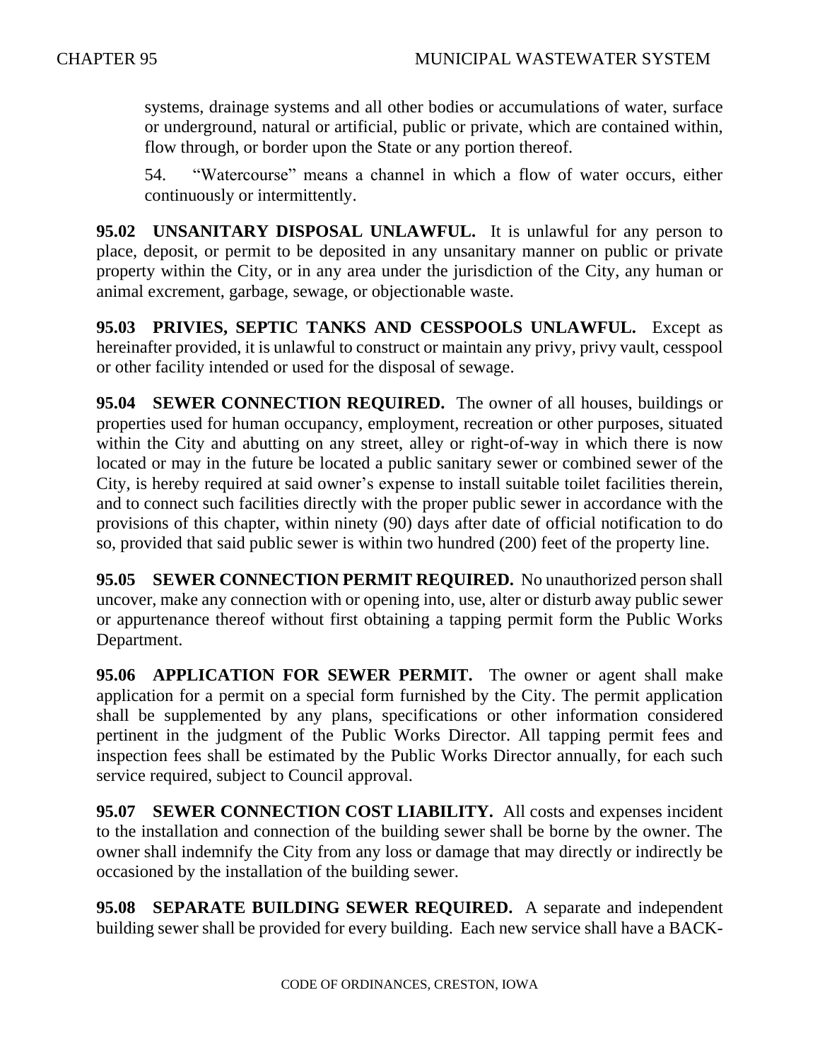systems, drainage systems and all other bodies or accumulations of water, surface or underground, natural or artificial, public or private, which are contained within, flow through, or border upon the State or any portion thereof.

54. "Watercourse" means a channel in which a flow of water occurs, either continuously or intermittently.

**95.02 UNSANITARY DISPOSAL UNLAWFUL.** It is unlawful for any person to place, deposit, or permit to be deposited in any unsanitary manner on public or private property within the City, or in any area under the jurisdiction of the City, any human or animal excrement, garbage, sewage, or objectionable waste.

**95.03 PRIVIES, SEPTIC TANKS AND CESSPOOLS UNLAWFUL.** Except as hereinafter provided, it is unlawful to construct or maintain any privy, privy vault, cesspool or other facility intended or used for the disposal of sewage.

**95.04 SEWER CONNECTION REQUIRED.** The owner of all houses, buildings or properties used for human occupancy, employment, recreation or other purposes, situated within the City and abutting on any street, alley or right-of-way in which there is now located or may in the future be located a public sanitary sewer or combined sewer of the City, is hereby required at said owner's expense to install suitable toilet facilities therein, and to connect such facilities directly with the proper public sewer in accordance with the provisions of this chapter, within ninety (90) days after date of official notification to do so, provided that said public sewer is within two hundred (200) feet of the property line.

**95.05 SEWER CONNECTION PERMIT REQUIRED.** No unauthorized person shall uncover, make any connection with or opening into, use, alter or disturb away public sewer or appurtenance thereof without first obtaining a tapping permit form the Public Works Department.

**95.06 APPLICATION FOR SEWER PERMIT.** The owner or agent shall make application for a permit on a special form furnished by the City. The permit application shall be supplemented by any plans, specifications or other information considered pertinent in the judgment of the Public Works Director. All tapping permit fees and inspection fees shall be estimated by the Public Works Director annually, for each such service required, subject to Council approval.

**95.07 SEWER CONNECTION COST LIABILITY.** All costs and expenses incident to the installation and connection of the building sewer shall be borne by the owner. The owner shall indemnify the City from any loss or damage that may directly or indirectly be occasioned by the installation of the building sewer.

**95.08 SEPARATE BUILDING SEWER REQUIRED.** A separate and independent building sewer shall be provided for every building. Each new service shall have a BACK-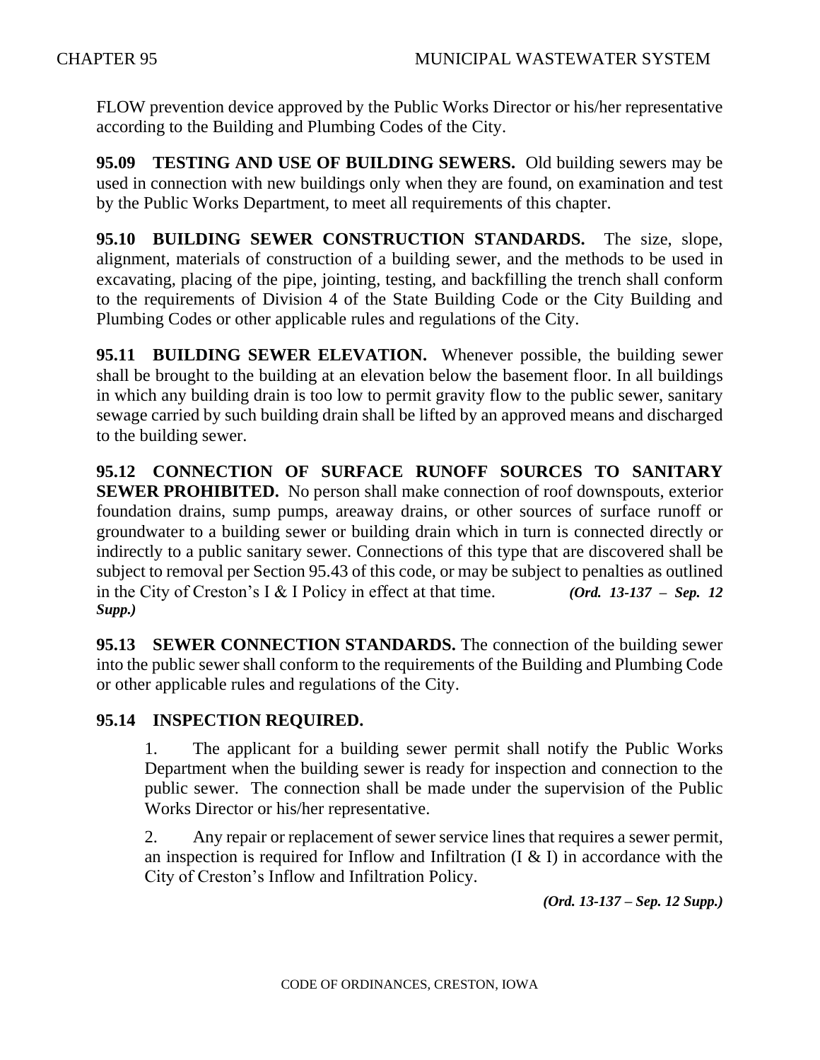FLOW prevention device approved by the Public Works Director or his/her representative according to the Building and Plumbing Codes of the City.

**95.09 TESTING AND USE OF BUILDING SEWERS.** Old building sewers may be used in connection with new buildings only when they are found, on examination and test by the Public Works Department, to meet all requirements of this chapter.

**95.10 BUILDING SEWER CONSTRUCTION STANDARDS.** The size, slope, alignment, materials of construction of a building sewer, and the methods to be used in excavating, placing of the pipe, jointing, testing, and backfilling the trench shall conform to the requirements of Division 4 of the State Building Code or the City Building and Plumbing Codes or other applicable rules and regulations of the City.

**95.11 BUILDING SEWER ELEVATION.** Whenever possible, the building sewer shall be brought to the building at an elevation below the basement floor. In all buildings in which any building drain is too low to permit gravity flow to the public sewer, sanitary sewage carried by such building drain shall be lifted by an approved means and discharged to the building sewer.

**95.12 CONNECTION OF SURFACE RUNOFF SOURCES TO SANITARY SEWER PROHIBITED.** No person shall make connection of roof downspouts, exterior foundation drains, sump pumps, areaway drains, or other sources of surface runoff or groundwater to a building sewer or building drain which in turn is connected directly or indirectly to a public sanitary sewer. Connections of this type that are discovered shall be subject to removal per Section 95.43 of this code, or may be subject to penalties as outlined in the City of Creston's I & I Policy in effect at that time. *(Ord. 13-137 – Sep. 12 Supp.)*

**95.13 SEWER CONNECTION STANDARDS.** The connection of the building sewer into the public sewer shall conform to the requirements of the Building and Plumbing Code or other applicable rules and regulations of the City.

## **95.14 INSPECTION REQUIRED.**

1. The applicant for a building sewer permit shall notify the Public Works Department when the building sewer is ready for inspection and connection to the public sewer. The connection shall be made under the supervision of the Public Works Director or his/her representative.

2. Any repair or replacement of sewer service lines that requires a sewer permit, an inspection is required for Inflow and Infiltration  $(I \& I)$  in accordance with the City of Creston's Inflow and Infiltration Policy.

*(Ord. 13-137 – Sep. 12 Supp.)*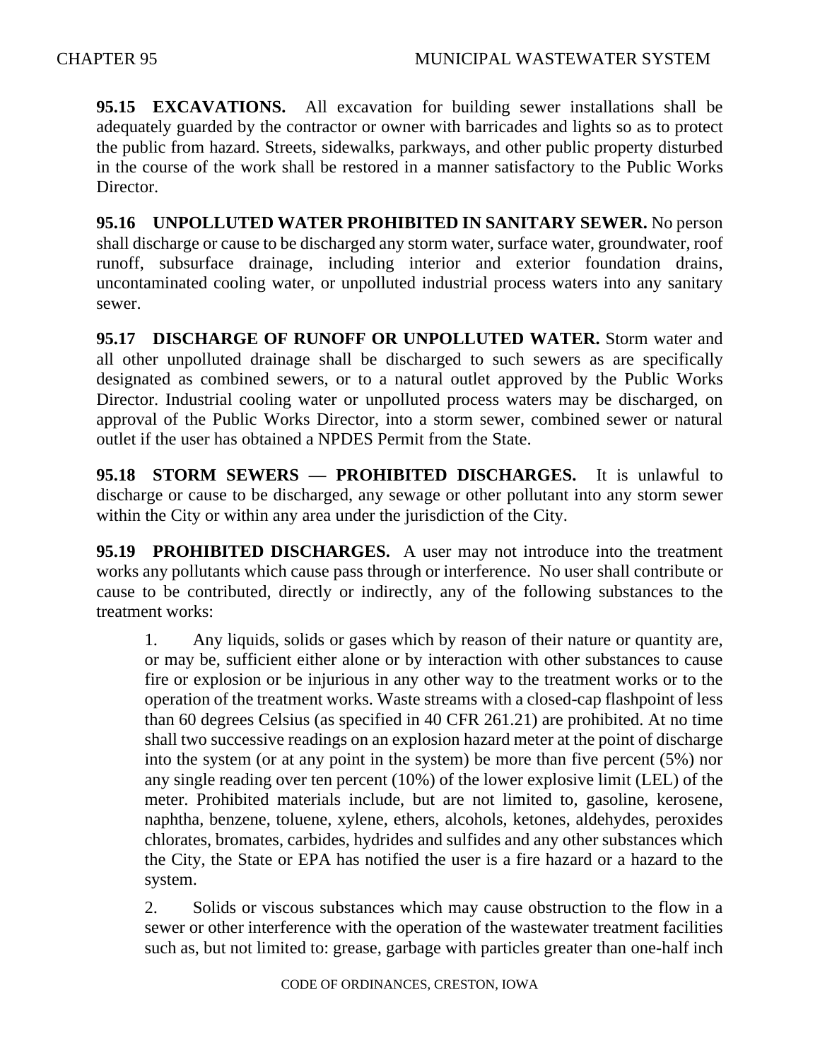**95.15 EXCAVATIONS.** All excavation for building sewer installations shall be adequately guarded by the contractor or owner with barricades and lights so as to protect the public from hazard. Streets, sidewalks, parkways, and other public property disturbed in the course of the work shall be restored in a manner satisfactory to the Public Works Director.

**95.16 UNPOLLUTED WATER PROHIBITED IN SANITARY SEWER.** No person shall discharge or cause to be discharged any storm water, surface water, groundwater, roof runoff, subsurface drainage, including interior and exterior foundation drains, uncontaminated cooling water, or unpolluted industrial process waters into any sanitary sewer.

**95.17 DISCHARGE OF RUNOFF OR UNPOLLUTED WATER.** Storm water and all other unpolluted drainage shall be discharged to such sewers as are specifically designated as combined sewers, or to a natural outlet approved by the Public Works Director. Industrial cooling water or unpolluted process waters may be discharged, on approval of the Public Works Director, into a storm sewer, combined sewer or natural outlet if the user has obtained a NPDES Permit from the State.

**95.18 STORM SEWERS — PROHIBITED DISCHARGES.** It is unlawful to discharge or cause to be discharged, any sewage or other pollutant into any storm sewer within the City or within any area under the jurisdiction of the City.

**95.19 PROHIBITED DISCHARGES.** A user may not introduce into the treatment works any pollutants which cause pass through or interference. No user shall contribute or cause to be contributed, directly or indirectly, any of the following substances to the treatment works:

1. Any liquids, solids or gases which by reason of their nature or quantity are, or may be, sufficient either alone or by interaction with other substances to cause fire or explosion or be injurious in any other way to the treatment works or to the operation of the treatment works. Waste streams with a closed-cap flashpoint of less than 60 degrees Celsius (as specified in 40 CFR 261.21) are prohibited. At no time shall two successive readings on an explosion hazard meter at the point of discharge into the system (or at any point in the system) be more than five percent (5%) nor any single reading over ten percent (10%) of the lower explosive limit (LEL) of the meter. Prohibited materials include, but are not limited to, gasoline, kerosene, naphtha, benzene, toluene, xylene, ethers, alcohols, ketones, aldehydes, peroxides chlorates, bromates, carbides, hydrides and sulfides and any other substances which the City, the State or EPA has notified the user is a fire hazard or a hazard to the system.

2. Solids or viscous substances which may cause obstruction to the flow in a sewer or other interference with the operation of the wastewater treatment facilities such as, but not limited to: grease, garbage with particles greater than one-half inch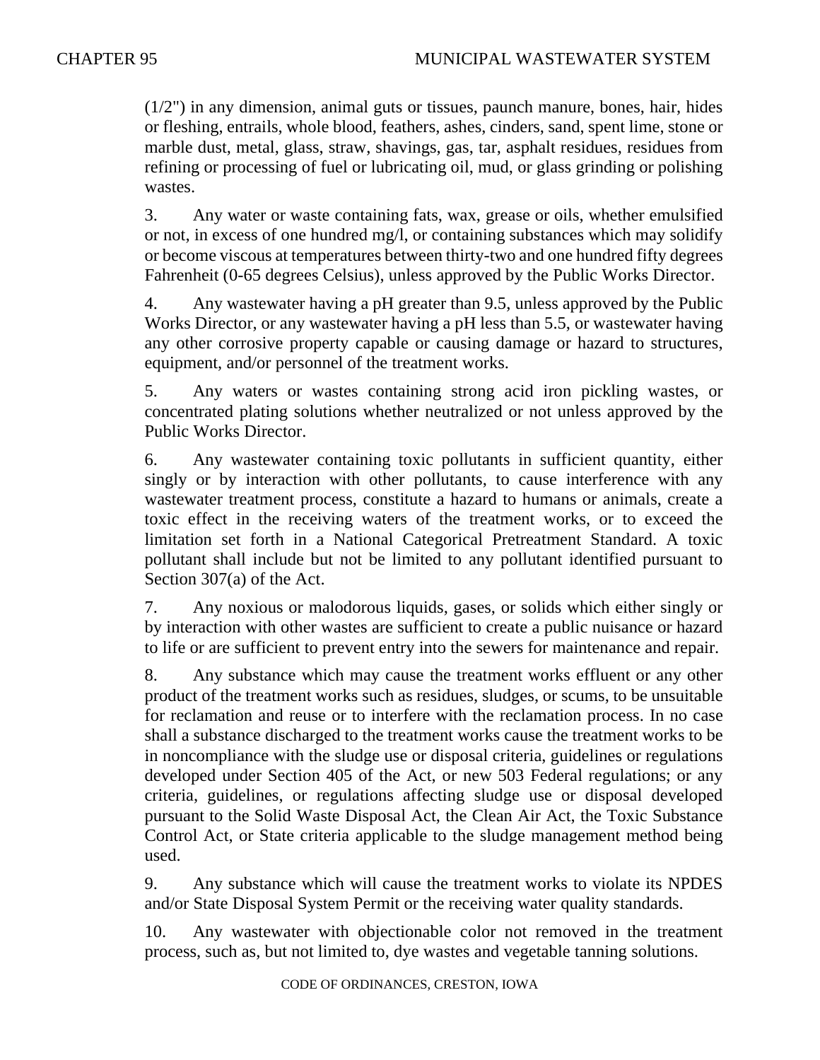(1/2") in any dimension, animal guts or tissues, paunch manure, bones, hair, hides or fleshing, entrails, whole blood, feathers, ashes, cinders, sand, spent lime, stone or marble dust, metal, glass, straw, shavings, gas, tar, asphalt residues, residues from refining or processing of fuel or lubricating oil, mud, or glass grinding or polishing wastes.

3. Any water or waste containing fats, wax, grease or oils, whether emulsified or not, in excess of one hundred mg/l, or containing substances which may solidify or become viscous at temperatures between thirty-two and one hundred fifty degrees Fahrenheit (0-65 degrees Celsius), unless approved by the Public Works Director.

4. Any wastewater having a pH greater than 9.5, unless approved by the Public Works Director, or any wastewater having a pH less than 5.5, or wastewater having any other corrosive property capable or causing damage or hazard to structures, equipment, and/or personnel of the treatment works.

5. Any waters or wastes containing strong acid iron pickling wastes, or concentrated plating solutions whether neutralized or not unless approved by the Public Works Director.

6. Any wastewater containing toxic pollutants in sufficient quantity, either singly or by interaction with other pollutants, to cause interference with any wastewater treatment process, constitute a hazard to humans or animals, create a toxic effect in the receiving waters of the treatment works, or to exceed the limitation set forth in a National Categorical Pretreatment Standard. A toxic pollutant shall include but not be limited to any pollutant identified pursuant to Section 307(a) of the Act.

7. Any noxious or malodorous liquids, gases, or solids which either singly or by interaction with other wastes are sufficient to create a public nuisance or hazard to life or are sufficient to prevent entry into the sewers for maintenance and repair.

8. Any substance which may cause the treatment works effluent or any other product of the treatment works such as residues, sludges, or scums, to be unsuitable for reclamation and reuse or to interfere with the reclamation process. In no case shall a substance discharged to the treatment works cause the treatment works to be in noncompliance with the sludge use or disposal criteria, guidelines or regulations developed under Section 405 of the Act, or new 503 Federal regulations; or any criteria, guidelines, or regulations affecting sludge use or disposal developed pursuant to the Solid Waste Disposal Act, the Clean Air Act, the Toxic Substance Control Act, or State criteria applicable to the sludge management method being used.

9. Any substance which will cause the treatment works to violate its NPDES and/or State Disposal System Permit or the receiving water quality standards.

10. Any wastewater with objectionable color not removed in the treatment process, such as, but not limited to, dye wastes and vegetable tanning solutions.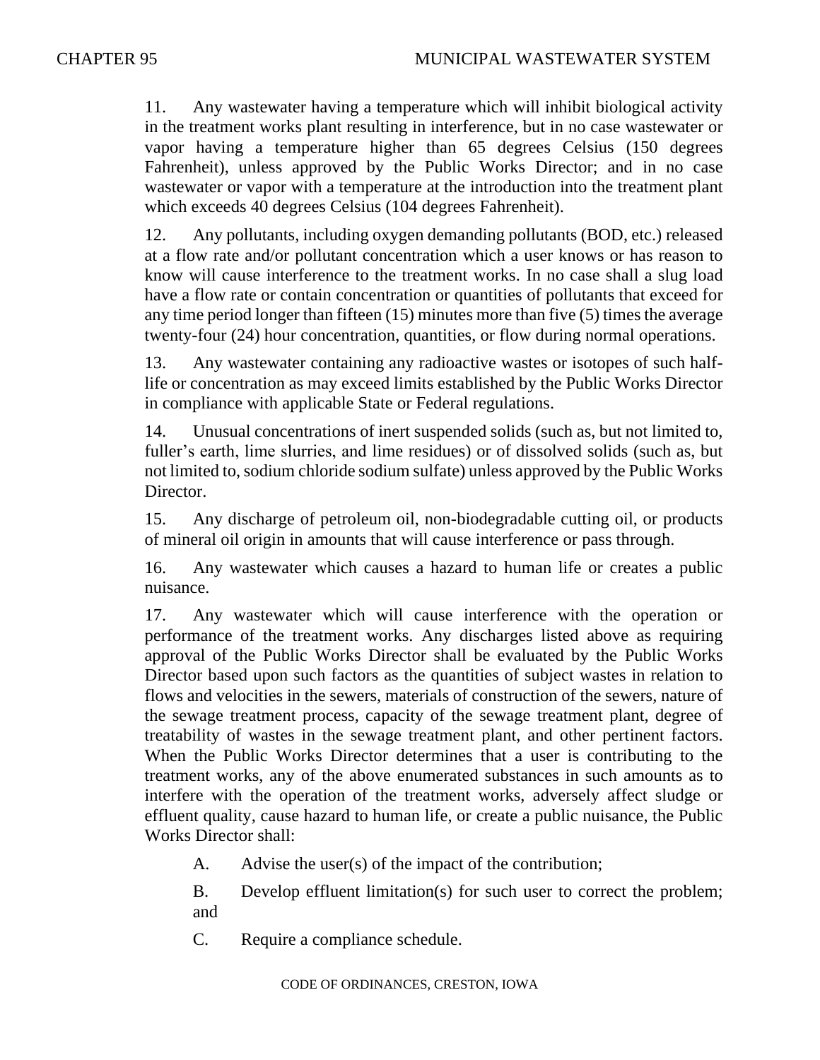11. Any wastewater having a temperature which will inhibit biological activity in the treatment works plant resulting in interference, but in no case wastewater or vapor having a temperature higher than 65 degrees Celsius (150 degrees Fahrenheit), unless approved by the Public Works Director; and in no case wastewater or vapor with a temperature at the introduction into the treatment plant which exceeds 40 degrees Celsius (104 degrees Fahrenheit).

12. Any pollutants, including oxygen demanding pollutants (BOD, etc.) released at a flow rate and/or pollutant concentration which a user knows or has reason to know will cause interference to the treatment works. In no case shall a slug load have a flow rate or contain concentration or quantities of pollutants that exceed for any time period longer than fifteen (15) minutes more than five (5) times the average twenty-four (24) hour concentration, quantities, or flow during normal operations.

13. Any wastewater containing any radioactive wastes or isotopes of such halflife or concentration as may exceed limits established by the Public Works Director in compliance with applicable State or Federal regulations.

14. Unusual concentrations of inert suspended solids (such as, but not limited to, fuller's earth, lime slurries, and lime residues) or of dissolved solids (such as, but not limited to, sodium chloride sodium sulfate) unless approved by the Public Works Director.

15. Any discharge of petroleum oil, non-biodegradable cutting oil, or products of mineral oil origin in amounts that will cause interference or pass through.

16. Any wastewater which causes a hazard to human life or creates a public nuisance.

17. Any wastewater which will cause interference with the operation or performance of the treatment works. Any discharges listed above as requiring approval of the Public Works Director shall be evaluated by the Public Works Director based upon such factors as the quantities of subject wastes in relation to flows and velocities in the sewers, materials of construction of the sewers, nature of the sewage treatment process, capacity of the sewage treatment plant, degree of treatability of wastes in the sewage treatment plant, and other pertinent factors. When the Public Works Director determines that a user is contributing to the treatment works, any of the above enumerated substances in such amounts as to interfere with the operation of the treatment works, adversely affect sludge or effluent quality, cause hazard to human life, or create a public nuisance, the Public Works Director shall:

A. Advise the user(s) of the impact of the contribution;

B. Develop effluent limitation(s) for such user to correct the problem; and

C. Require a compliance schedule.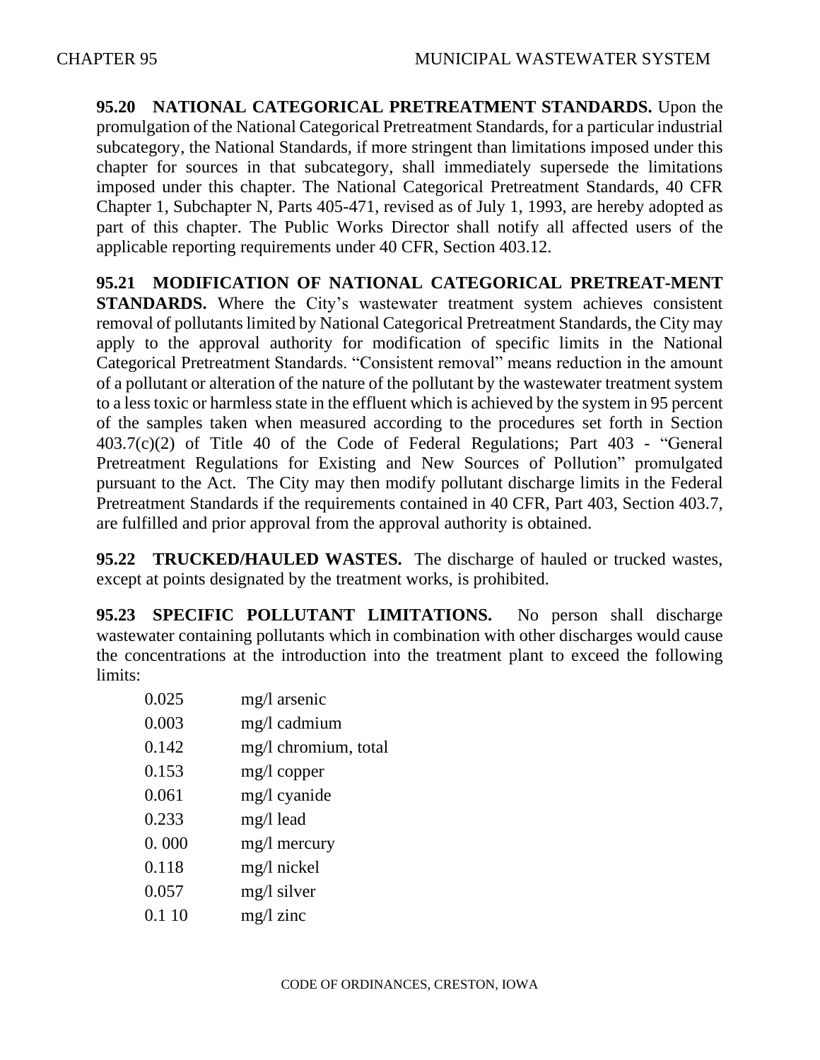**95.20 NATIONAL CATEGORICAL PRETREATMENT STANDARDS.** Upon the promulgation of the National Categorical Pretreatment Standards, for a particular industrial subcategory, the National Standards, if more stringent than limitations imposed under this chapter for sources in that subcategory, shall immediately supersede the limitations imposed under this chapter. The National Categorical Pretreatment Standards, 40 CFR Chapter 1, Subchapter N, Parts 405-471, revised as of July 1, 1993, are hereby adopted as part of this chapter. The Public Works Director shall notify all affected users of the applicable reporting requirements under 40 CFR, Section 403.12.

**95.21 MODIFICATION OF NATIONAL CATEGORICAL PRETREAT-MENT STANDARDS.** Where the City's wastewater treatment system achieves consistent removal of pollutants limited by National Categorical Pretreatment Standards, the City may apply to the approval authority for modification of specific limits in the National Categorical Pretreatment Standards. "Consistent removal" means reduction in the amount of a pollutant or alteration of the nature of the pollutant by the wastewater treatment system to a less toxic or harmless state in the effluent which is achieved by the system in 95 percent of the samples taken when measured according to the procedures set forth in Section 403.7(c)(2) of Title 40 of the Code of Federal Regulations; Part 403 - "General Pretreatment Regulations for Existing and New Sources of Pollution" promulgated pursuant to the Act. The City may then modify pollutant discharge limits in the Federal Pretreatment Standards if the requirements contained in 40 CFR, Part 403, Section 403.7, are fulfilled and prior approval from the approval authority is obtained.

**95.22 TRUCKED/HAULED WASTES.** The discharge of hauled or trucked wastes, except at points designated by the treatment works, is prohibited.

**95.23 SPECIFIC POLLUTANT LIMITATIONS.** No person shall discharge wastewater containing pollutants which in combination with other discharges would cause the concentrations at the introduction into the treatment plant to exceed the following limits:

| 0.025  | mg/l arsenic         |
|--------|----------------------|
| 0.003  | mg/l cadmium         |
| 0.142  | mg/l chromium, total |
| 0.153  | mg/l copper          |
| 0.061  | mg/l cyanide         |
| 0.233  | mg/l lead            |
| 0.000  | mg/l mercury         |
| 0.118  | mg/l nickel          |
| 0.057  | mg/l silver          |
| 0.1 10 | $mg/l$ zinc          |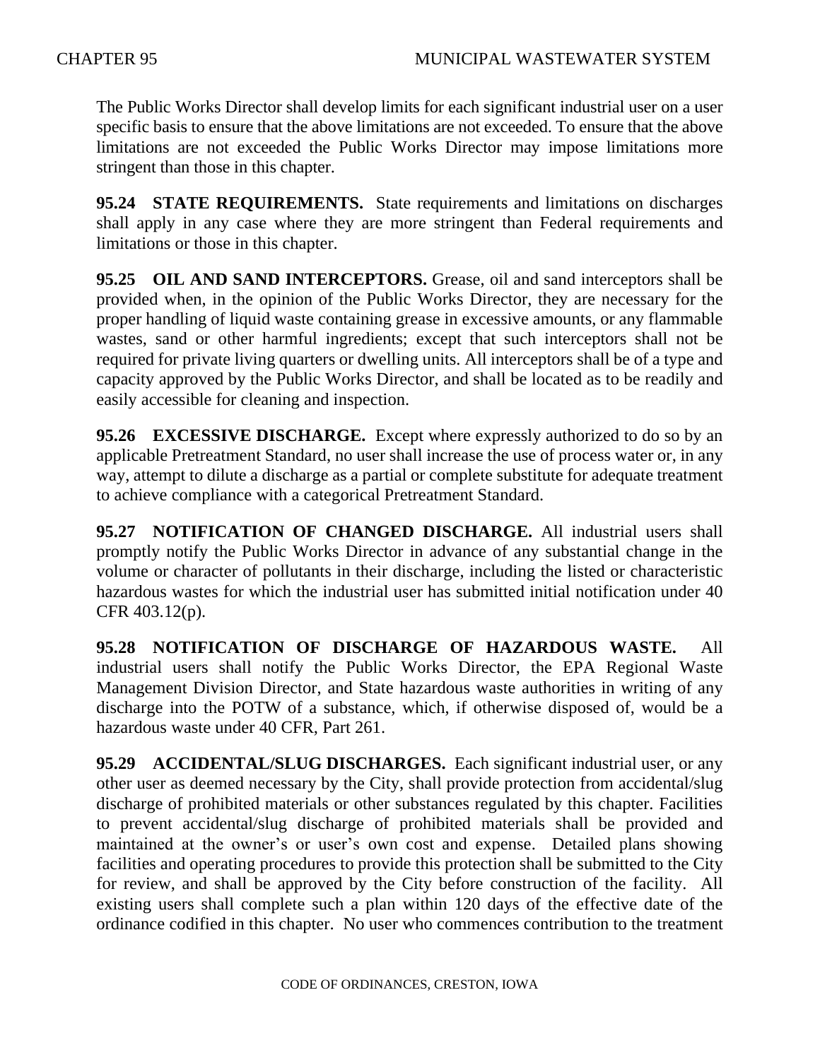The Public Works Director shall develop limits for each significant industrial user on a user specific basis to ensure that the above limitations are not exceeded. To ensure that the above limitations are not exceeded the Public Works Director may impose limitations more stringent than those in this chapter.

**95.24 STATE REQUIREMENTS.** State requirements and limitations on discharges shall apply in any case where they are more stringent than Federal requirements and limitations or those in this chapter.

**95.25 OIL AND SAND INTERCEPTORS.** Grease, oil and sand interceptors shall be provided when, in the opinion of the Public Works Director, they are necessary for the proper handling of liquid waste containing grease in excessive amounts, or any flammable wastes, sand or other harmful ingredients; except that such interceptors shall not be required for private living quarters or dwelling units. All interceptors shall be of a type and capacity approved by the Public Works Director, and shall be located as to be readily and easily accessible for cleaning and inspection.

**95.26 EXCESSIVE DISCHARGE.** Except where expressly authorized to do so by an applicable Pretreatment Standard, no user shall increase the use of process water or, in any way, attempt to dilute a discharge as a partial or complete substitute for adequate treatment to achieve compliance with a categorical Pretreatment Standard.

**95.27 NOTIFICATION OF CHANGED DISCHARGE.** All industrial users shall promptly notify the Public Works Director in advance of any substantial change in the volume or character of pollutants in their discharge, including the listed or characteristic hazardous wastes for which the industrial user has submitted initial notification under 40 CFR 403.12(p).

**95.28 NOTIFICATION OF DISCHARGE OF HAZARDOUS WASTE.** All industrial users shall notify the Public Works Director, the EPA Regional Waste Management Division Director, and State hazardous waste authorities in writing of any discharge into the POTW of a substance, which, if otherwise disposed of, would be a hazardous waste under 40 CFR, Part 261.

**95.29 ACCIDENTAL/SLUG DISCHARGES.** Each significant industrial user, or any other user as deemed necessary by the City, shall provide protection from accidental/slug discharge of prohibited materials or other substances regulated by this chapter. Facilities to prevent accidental/slug discharge of prohibited materials shall be provided and maintained at the owner's or user's own cost and expense. Detailed plans showing facilities and operating procedures to provide this protection shall be submitted to the City for review, and shall be approved by the City before construction of the facility. All existing users shall complete such a plan within 120 days of the effective date of the ordinance codified in this chapter. No user who commences contribution to the treatment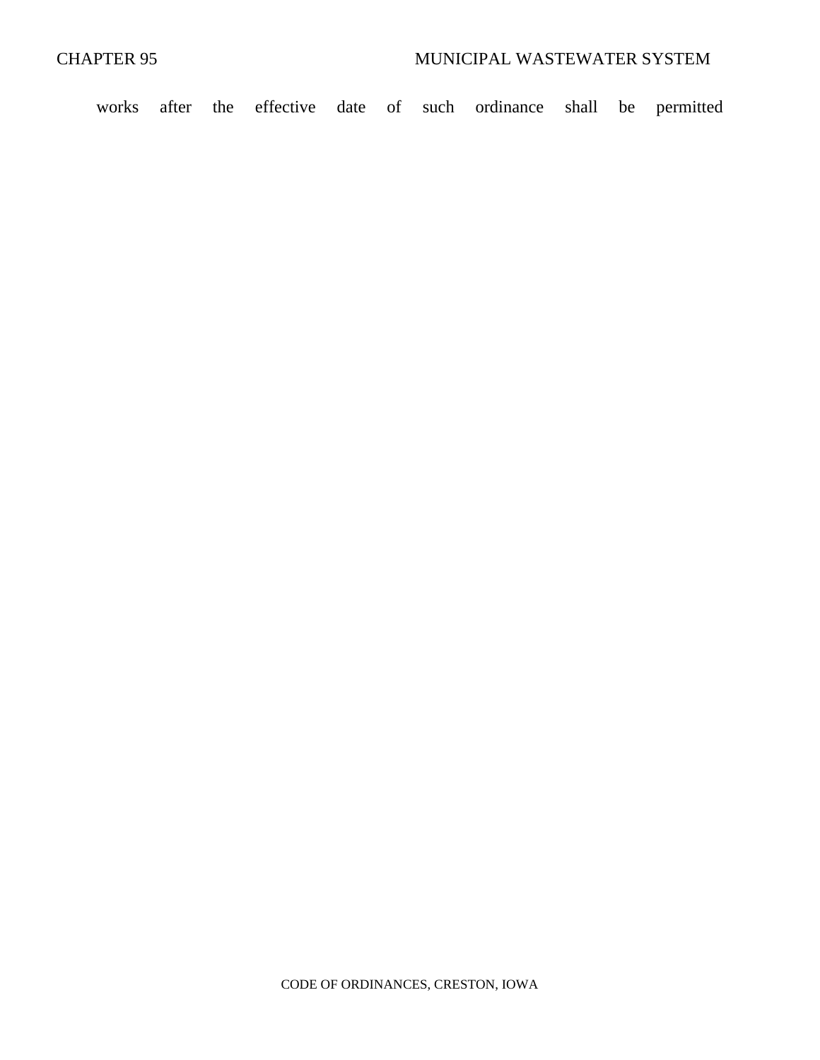works after the effective date of such ordinance shall be permitted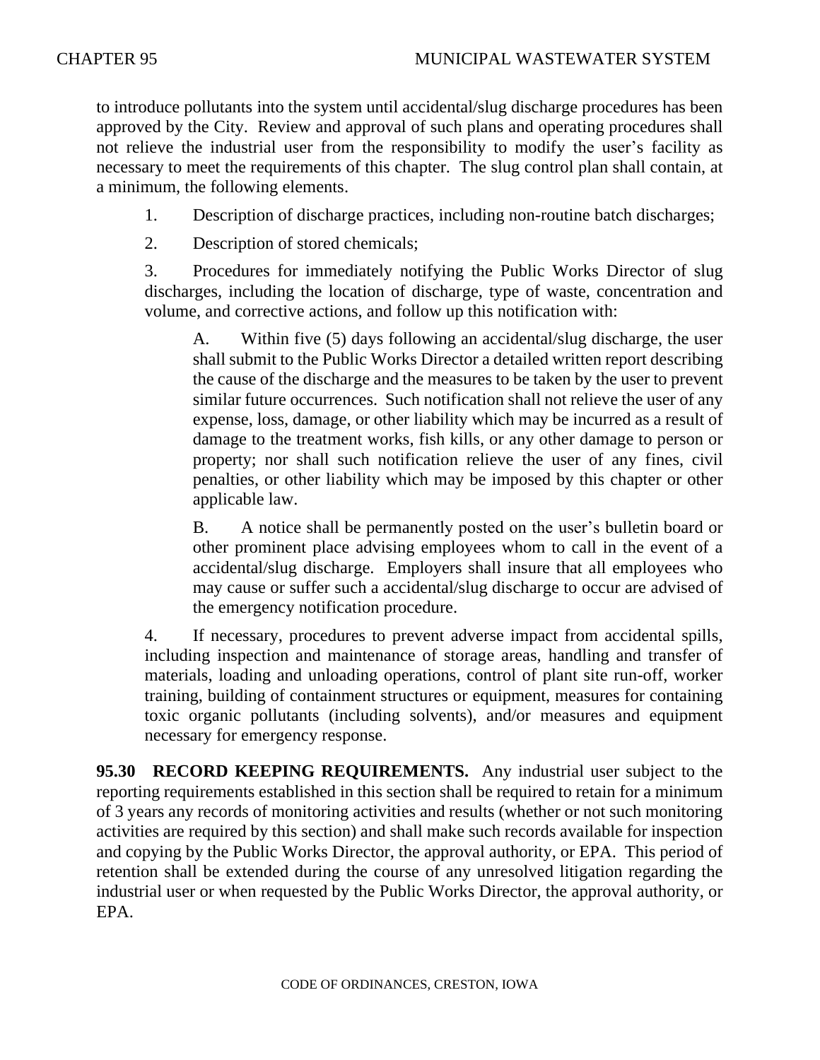to introduce pollutants into the system until accidental/slug discharge procedures has been approved by the City. Review and approval of such plans and operating procedures shall not relieve the industrial user from the responsibility to modify the user's facility as necessary to meet the requirements of this chapter. The slug control plan shall contain, at a minimum, the following elements.

- 1. Description of discharge practices, including non-routine batch discharges;
- 2. Description of stored chemicals;

3. Procedures for immediately notifying the Public Works Director of slug discharges, including the location of discharge, type of waste, concentration and volume, and corrective actions, and follow up this notification with:

A. Within five (5) days following an accidental/slug discharge, the user shall submit to the Public Works Director a detailed written report describing the cause of the discharge and the measures to be taken by the user to prevent similar future occurrences. Such notification shall not relieve the user of any expense, loss, damage, or other liability which may be incurred as a result of damage to the treatment works, fish kills, or any other damage to person or property; nor shall such notification relieve the user of any fines, civil penalties, or other liability which may be imposed by this chapter or other applicable law.

B. A notice shall be permanently posted on the user's bulletin board or other prominent place advising employees whom to call in the event of a accidental/slug discharge. Employers shall insure that all employees who may cause or suffer such a accidental/slug discharge to occur are advised of the emergency notification procedure.

4. If necessary, procedures to prevent adverse impact from accidental spills, including inspection and maintenance of storage areas, handling and transfer of materials, loading and unloading operations, control of plant site run-off, worker training, building of containment structures or equipment, measures for containing toxic organic pollutants (including solvents), and/or measures and equipment necessary for emergency response.

**95.30 RECORD KEEPING REQUIREMENTS.** Any industrial user subject to the reporting requirements established in this section shall be required to retain for a minimum of 3 years any records of monitoring activities and results (whether or not such monitoring activities are required by this section) and shall make such records available for inspection and copying by the Public Works Director, the approval authority, or EPA. This period of retention shall be extended during the course of any unresolved litigation regarding the industrial user or when requested by the Public Works Director, the approval authority, or EPA.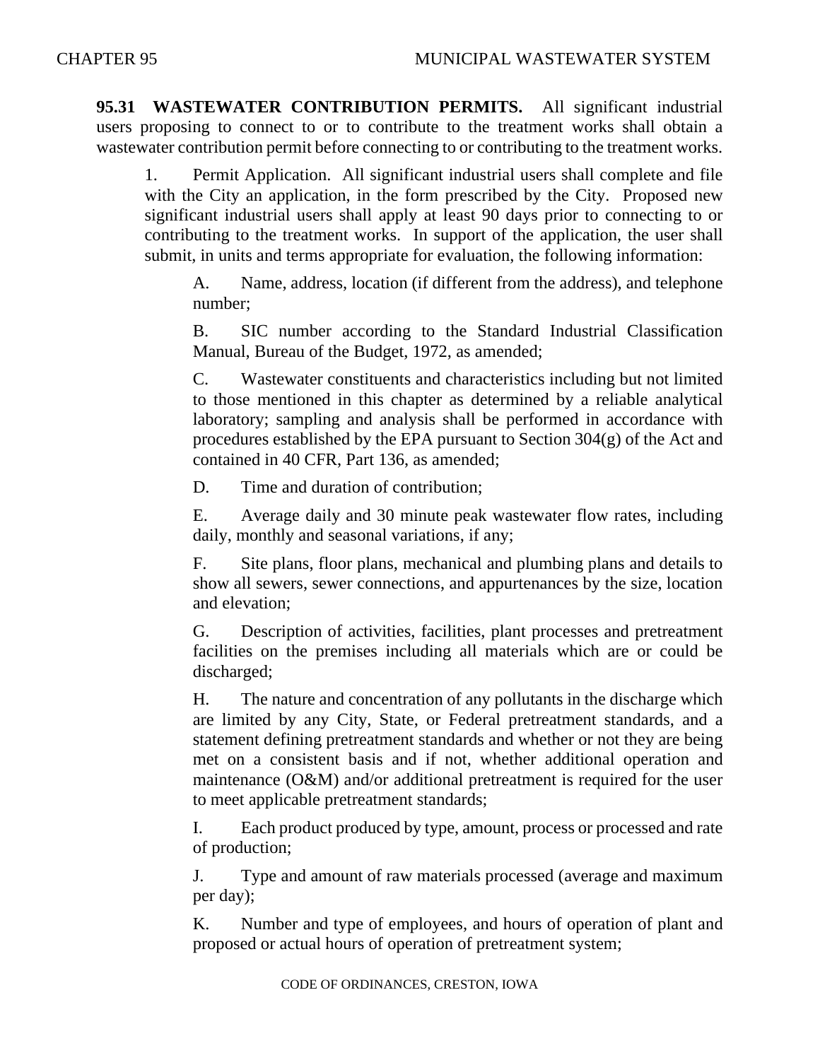**95.31 WASTEWATER CONTRIBUTION PERMITS.** All significant industrial users proposing to connect to or to contribute to the treatment works shall obtain a wastewater contribution permit before connecting to or contributing to the treatment works.

1. Permit Application. All significant industrial users shall complete and file with the City an application, in the form prescribed by the City. Proposed new significant industrial users shall apply at least 90 days prior to connecting to or contributing to the treatment works. In support of the application, the user shall submit, in units and terms appropriate for evaluation, the following information:

A. Name, address, location (if different from the address), and telephone number;

B. SIC number according to the Standard Industrial Classification Manual, Bureau of the Budget, 1972, as amended;

C. Wastewater constituents and characteristics including but not limited to those mentioned in this chapter as determined by a reliable analytical laboratory; sampling and analysis shall be performed in accordance with procedures established by the EPA pursuant to Section 304(g) of the Act and contained in 40 CFR, Part 136, as amended;

D. Time and duration of contribution;

E. Average daily and 30 minute peak wastewater flow rates, including daily, monthly and seasonal variations, if any;

F. Site plans, floor plans, mechanical and plumbing plans and details to show all sewers, sewer connections, and appurtenances by the size, location and elevation;

G. Description of activities, facilities, plant processes and pretreatment facilities on the premises including all materials which are or could be discharged;

H. The nature and concentration of any pollutants in the discharge which are limited by any City, State, or Federal pretreatment standards, and a statement defining pretreatment standards and whether or not they are being met on a consistent basis and if not, whether additional operation and maintenance (O&M) and/or additional pretreatment is required for the user to meet applicable pretreatment standards;

I. Each product produced by type, amount, process or processed and rate of production;

J. Type and amount of raw materials processed (average and maximum per day);

K. Number and type of employees, and hours of operation of plant and proposed or actual hours of operation of pretreatment system;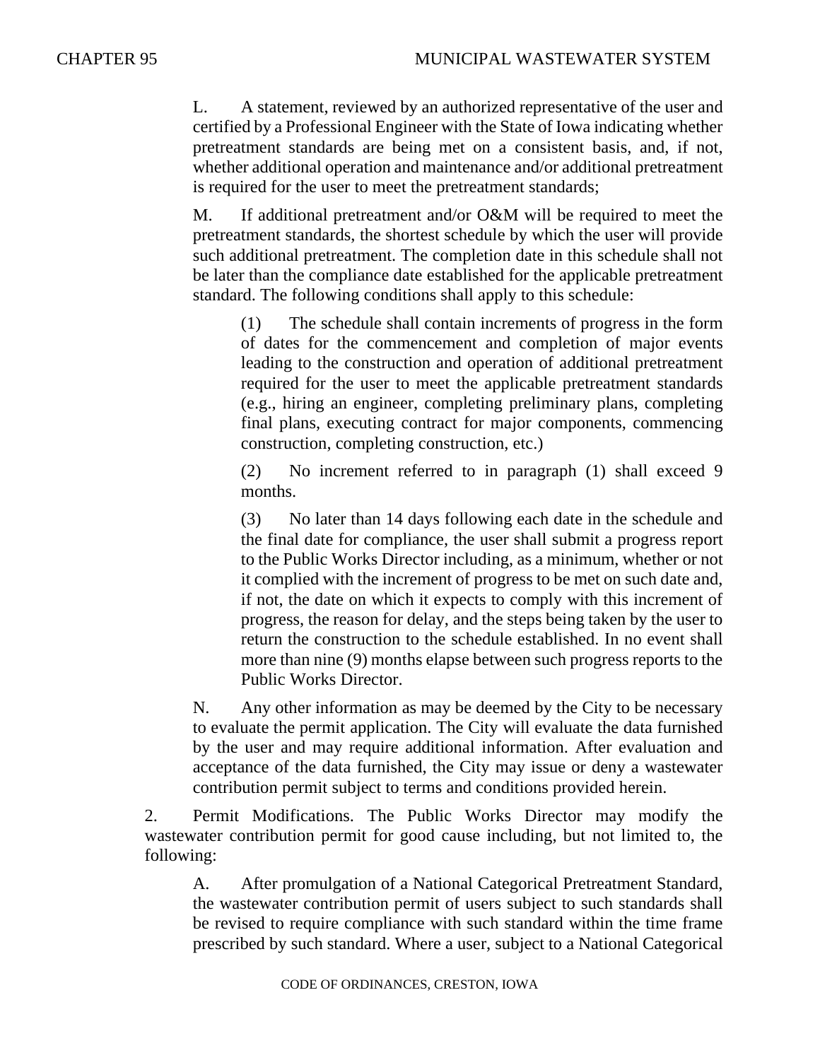L. A statement, reviewed by an authorized representative of the user and certified by a Professional Engineer with the State of Iowa indicating whether pretreatment standards are being met on a consistent basis, and, if not, whether additional operation and maintenance and/or additional pretreatment is required for the user to meet the pretreatment standards;

M. If additional pretreatment and/or O&M will be required to meet the pretreatment standards, the shortest schedule by which the user will provide such additional pretreatment. The completion date in this schedule shall not be later than the compliance date established for the applicable pretreatment standard. The following conditions shall apply to this schedule:

(1) The schedule shall contain increments of progress in the form of dates for the commencement and completion of major events leading to the construction and operation of additional pretreatment required for the user to meet the applicable pretreatment standards (e.g., hiring an engineer, completing preliminary plans, completing final plans, executing contract for major components, commencing construction, completing construction, etc.)

(2) No increment referred to in paragraph (1) shall exceed 9 months.

(3) No later than 14 days following each date in the schedule and the final date for compliance, the user shall submit a progress report to the Public Works Director including, as a minimum, whether or not it complied with the increment of progress to be met on such date and, if not, the date on which it expects to comply with this increment of progress, the reason for delay, and the steps being taken by the user to return the construction to the schedule established. In no event shall more than nine (9) months elapse between such progress reports to the Public Works Director.

N. Any other information as may be deemed by the City to be necessary to evaluate the permit application. The City will evaluate the data furnished by the user and may require additional information. After evaluation and acceptance of the data furnished, the City may issue or deny a wastewater contribution permit subject to terms and conditions provided herein.

2. Permit Modifications. The Public Works Director may modify the wastewater contribution permit for good cause including, but not limited to, the following:

A. After promulgation of a National Categorical Pretreatment Standard, the wastewater contribution permit of users subject to such standards shall be revised to require compliance with such standard within the time frame prescribed by such standard. Where a user, subject to a National Categorical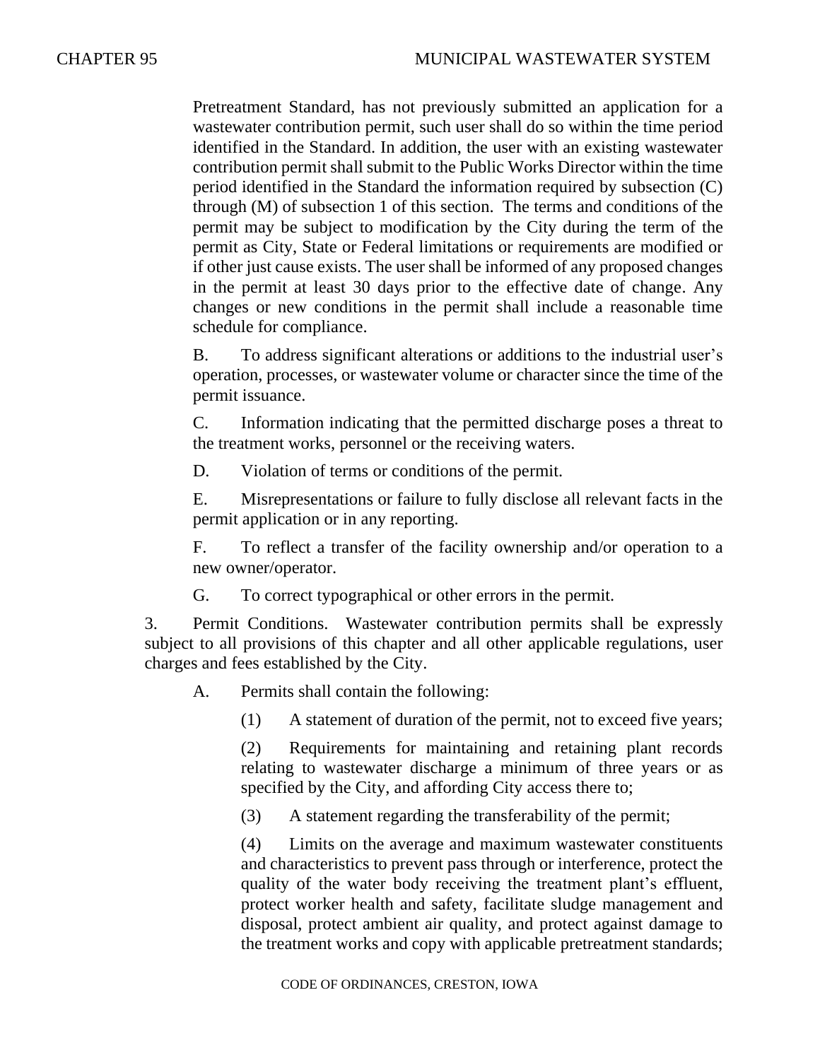Pretreatment Standard, has not previously submitted an application for a wastewater contribution permit, such user shall do so within the time period identified in the Standard. In addition, the user with an existing wastewater contribution permit shall submit to the Public Works Director within the time period identified in the Standard the information required by subsection (C) through (M) of subsection 1 of this section. The terms and conditions of the permit may be subject to modification by the City during the term of the permit as City, State or Federal limitations or requirements are modified or if other just cause exists. The user shall be informed of any proposed changes in the permit at least 30 days prior to the effective date of change. Any changes or new conditions in the permit shall include a reasonable time schedule for compliance.

B. To address significant alterations or additions to the industrial user's operation, processes, or wastewater volume or character since the time of the permit issuance.

C. Information indicating that the permitted discharge poses a threat to the treatment works, personnel or the receiving waters.

D. Violation of terms or conditions of the permit.

E. Misrepresentations or failure to fully disclose all relevant facts in the permit application or in any reporting.

F. To reflect a transfer of the facility ownership and/or operation to a new owner/operator.

G. To correct typographical or other errors in the permit.

3. Permit Conditions. Wastewater contribution permits shall be expressly subject to all provisions of this chapter and all other applicable regulations, user charges and fees established by the City.

A. Permits shall contain the following:

(1) A statement of duration of the permit, not to exceed five years;

(2) Requirements for maintaining and retaining plant records relating to wastewater discharge a minimum of three years or as specified by the City, and affording City access there to;

(3) A statement regarding the transferability of the permit;

(4) Limits on the average and maximum wastewater constituents and characteristics to prevent pass through or interference, protect the quality of the water body receiving the treatment plant's effluent, protect worker health and safety, facilitate sludge management and disposal, protect ambient air quality, and protect against damage to the treatment works and copy with applicable pretreatment standards;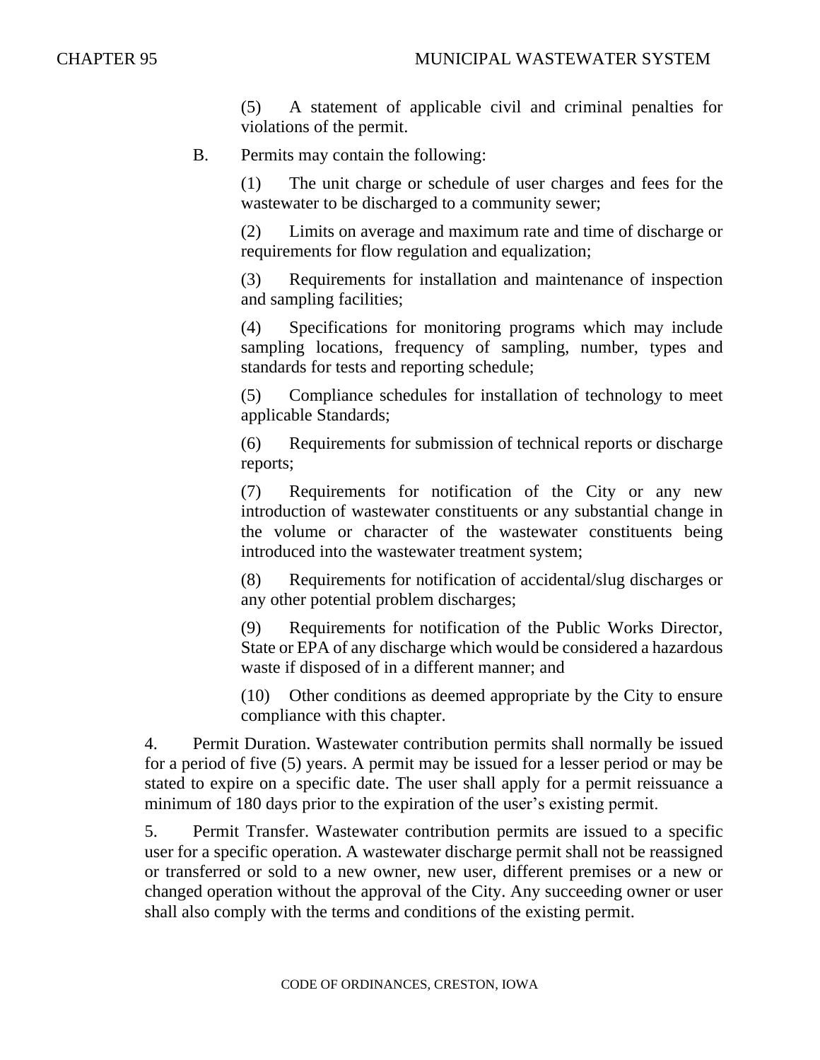(5) A statement of applicable civil and criminal penalties for violations of the permit.

#### B. Permits may contain the following:

(1) The unit charge or schedule of user charges and fees for the wastewater to be discharged to a community sewer;

(2) Limits on average and maximum rate and time of discharge or requirements for flow regulation and equalization;

(3) Requirements for installation and maintenance of inspection and sampling facilities;

(4) Specifications for monitoring programs which may include sampling locations, frequency of sampling, number, types and standards for tests and reporting schedule;

(5) Compliance schedules for installation of technology to meet applicable Standards;

(6) Requirements for submission of technical reports or discharge reports;

(7) Requirements for notification of the City or any new introduction of wastewater constituents or any substantial change in the volume or character of the wastewater constituents being introduced into the wastewater treatment system;

(8) Requirements for notification of accidental/slug discharges or any other potential problem discharges;

(9) Requirements for notification of the Public Works Director, State or EPA of any discharge which would be considered a hazardous waste if disposed of in a different manner; and

(10) Other conditions as deemed appropriate by the City to ensure compliance with this chapter.

4. Permit Duration. Wastewater contribution permits shall normally be issued for a period of five (5) years. A permit may be issued for a lesser period or may be stated to expire on a specific date. The user shall apply for a permit reissuance a minimum of 180 days prior to the expiration of the user's existing permit.

5. Permit Transfer. Wastewater contribution permits are issued to a specific user for a specific operation. A wastewater discharge permit shall not be reassigned or transferred or sold to a new owner, new user, different premises or a new or changed operation without the approval of the City. Any succeeding owner or user shall also comply with the terms and conditions of the existing permit.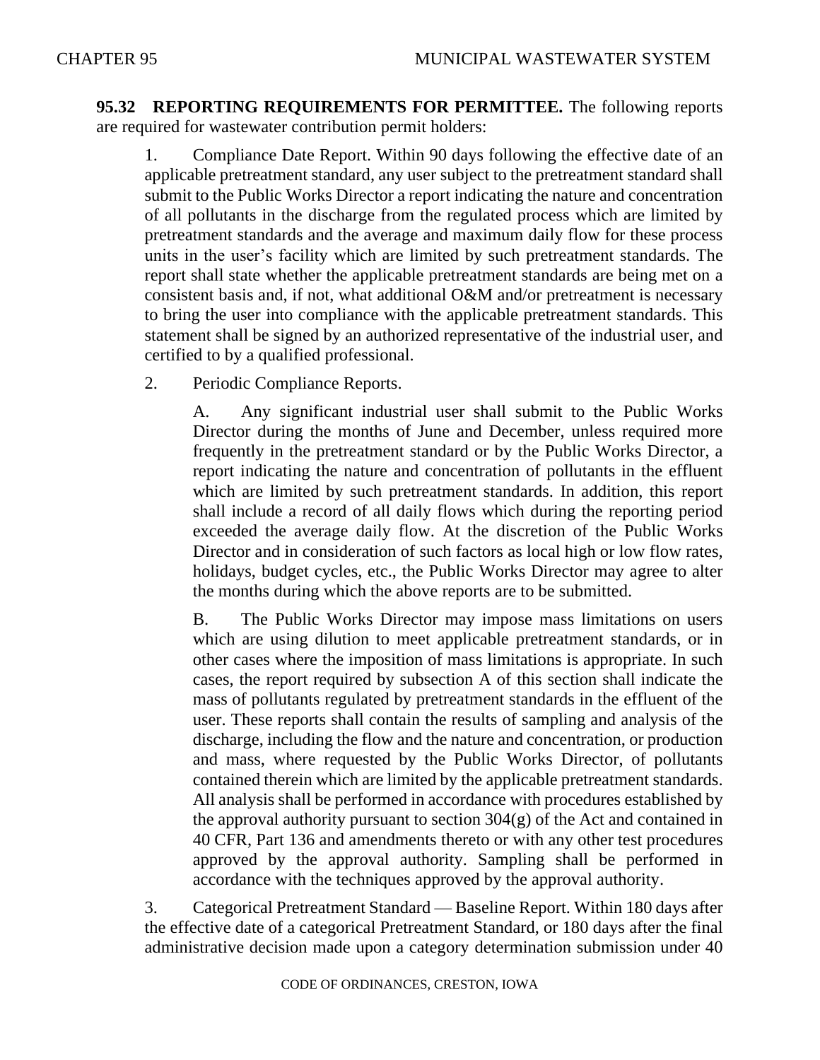**95.32 REPORTING REQUIREMENTS FOR PERMITTEE.** The following reports are required for wastewater contribution permit holders:

1. Compliance Date Report. Within 90 days following the effective date of an applicable pretreatment standard, any user subject to the pretreatment standard shall submit to the Public Works Director a report indicating the nature and concentration of all pollutants in the discharge from the regulated process which are limited by pretreatment standards and the average and maximum daily flow for these process units in the user's facility which are limited by such pretreatment standards. The report shall state whether the applicable pretreatment standards are being met on a consistent basis and, if not, what additional O&M and/or pretreatment is necessary to bring the user into compliance with the applicable pretreatment standards. This statement shall be signed by an authorized representative of the industrial user, and certified to by a qualified professional.

2. Periodic Compliance Reports.

A. Any significant industrial user shall submit to the Public Works Director during the months of June and December, unless required more frequently in the pretreatment standard or by the Public Works Director, a report indicating the nature and concentration of pollutants in the effluent which are limited by such pretreatment standards. In addition, this report shall include a record of all daily flows which during the reporting period exceeded the average daily flow. At the discretion of the Public Works Director and in consideration of such factors as local high or low flow rates, holidays, budget cycles, etc., the Public Works Director may agree to alter the months during which the above reports are to be submitted.

B. The Public Works Director may impose mass limitations on users which are using dilution to meet applicable pretreatment standards, or in other cases where the imposition of mass limitations is appropriate. In such cases, the report required by subsection A of this section shall indicate the mass of pollutants regulated by pretreatment standards in the effluent of the user. These reports shall contain the results of sampling and analysis of the discharge, including the flow and the nature and concentration, or production and mass, where requested by the Public Works Director, of pollutants contained therein which are limited by the applicable pretreatment standards. All analysis shall be performed in accordance with procedures established by the approval authority pursuant to section  $304(g)$  of the Act and contained in 40 CFR, Part 136 and amendments thereto or with any other test procedures approved by the approval authority. Sampling shall be performed in accordance with the techniques approved by the approval authority.

3. Categorical Pretreatment Standard — Baseline Report. Within 180 days after the effective date of a categorical Pretreatment Standard, or 180 days after the final administrative decision made upon a category determination submission under 40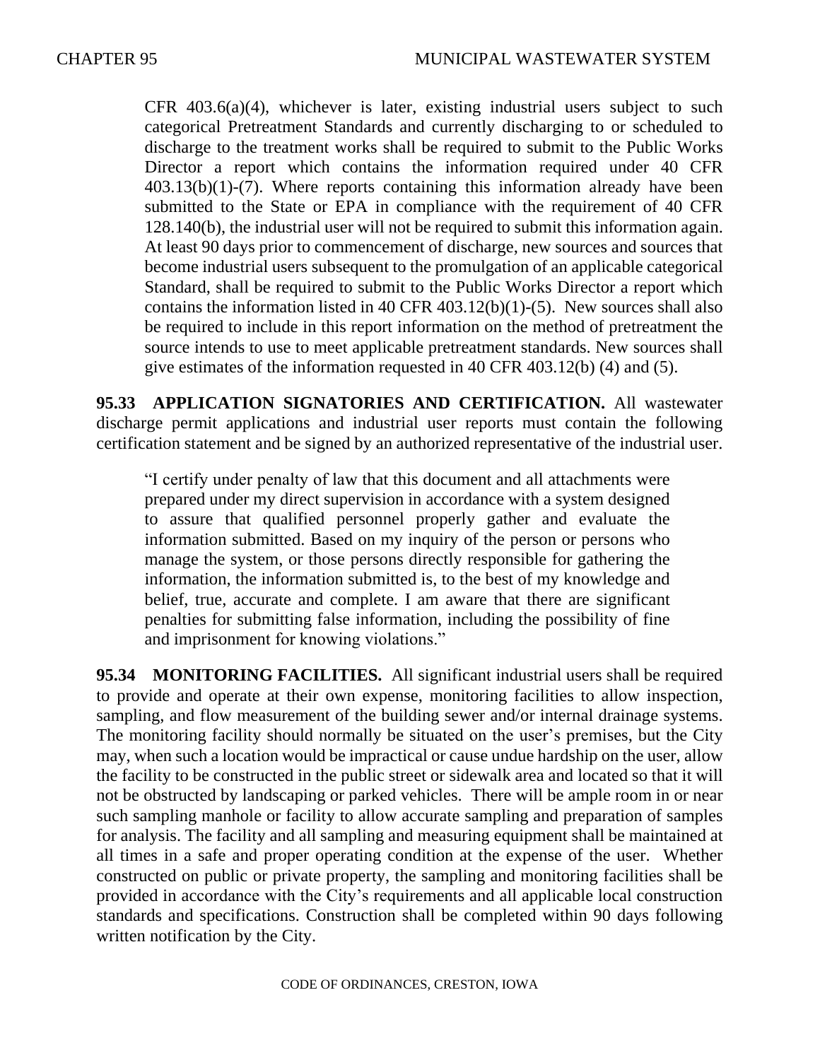CFR 403.6(a)(4), whichever is later, existing industrial users subject to such categorical Pretreatment Standards and currently discharging to or scheduled to discharge to the treatment works shall be required to submit to the Public Works Director a report which contains the information required under 40 CFR 403.13(b)(1)-(7). Where reports containing this information already have been submitted to the State or EPA in compliance with the requirement of 40 CFR 128.140(b), the industrial user will not be required to submit this information again. At least 90 days prior to commencement of discharge, new sources and sources that become industrial users subsequent to the promulgation of an applicable categorical Standard, shall be required to submit to the Public Works Director a report which contains the information listed in 40 CFR 403.12(b)(1)-(5). New sources shall also be required to include in this report information on the method of pretreatment the source intends to use to meet applicable pretreatment standards. New sources shall give estimates of the information requested in 40 CFR 403.12(b) (4) and (5).

**95.33 APPLICATION SIGNATORIES AND CERTIFICATION.** All wastewater discharge permit applications and industrial user reports must contain the following certification statement and be signed by an authorized representative of the industrial user.

"I certify under penalty of law that this document and all attachments were prepared under my direct supervision in accordance with a system designed to assure that qualified personnel properly gather and evaluate the information submitted. Based on my inquiry of the person or persons who manage the system, or those persons directly responsible for gathering the information, the information submitted is, to the best of my knowledge and belief, true, accurate and complete. I am aware that there are significant penalties for submitting false information, including the possibility of fine and imprisonment for knowing violations."

**95.34 MONITORING FACILITIES.** All significant industrial users shall be required to provide and operate at their own expense, monitoring facilities to allow inspection, sampling, and flow measurement of the building sewer and/or internal drainage systems. The monitoring facility should normally be situated on the user's premises, but the City may, when such a location would be impractical or cause undue hardship on the user, allow the facility to be constructed in the public street or sidewalk area and located so that it will not be obstructed by landscaping or parked vehicles. There will be ample room in or near such sampling manhole or facility to allow accurate sampling and preparation of samples for analysis. The facility and all sampling and measuring equipment shall be maintained at all times in a safe and proper operating condition at the expense of the user. Whether constructed on public or private property, the sampling and monitoring facilities shall be provided in accordance with the City's requirements and all applicable local construction standards and specifications. Construction shall be completed within 90 days following written notification by the City.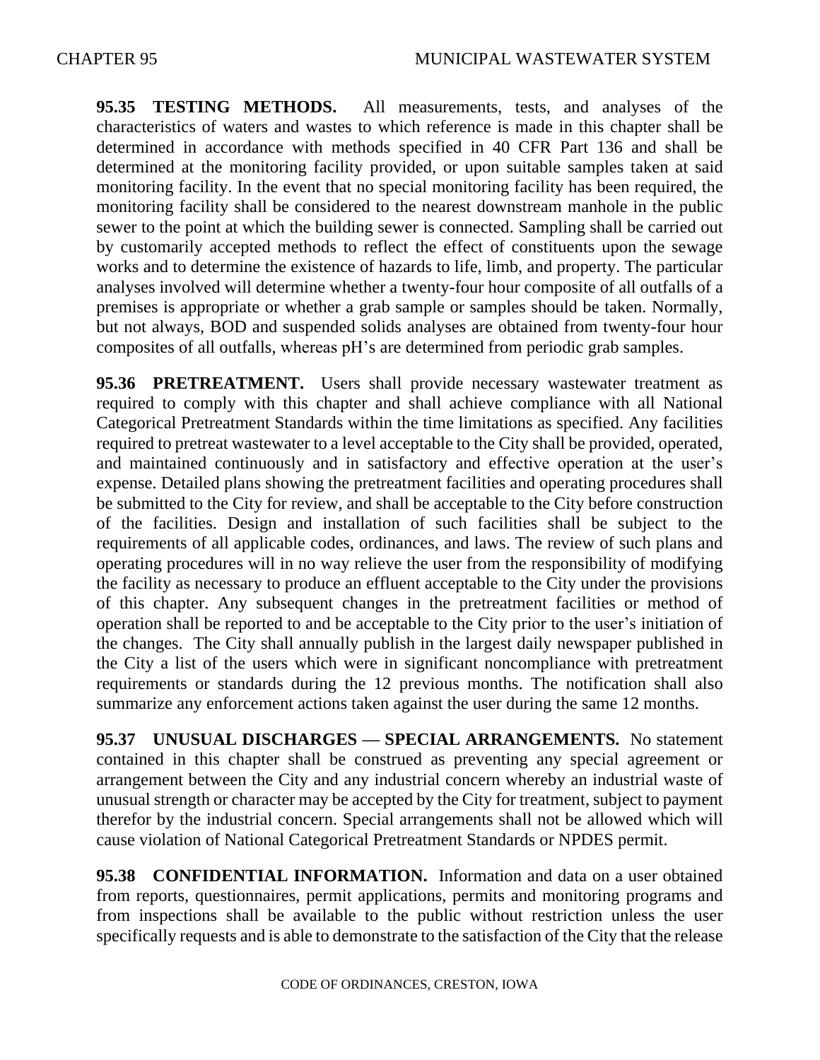**95.35 TESTING METHODS.** All measurements, tests, and analyses of the characteristics of waters and wastes to which reference is made in this chapter shall be determined in accordance with methods specified in 40 CFR Part 136 and shall be determined at the monitoring facility provided, or upon suitable samples taken at said monitoring facility. In the event that no special monitoring facility has been required, the monitoring facility shall be considered to the nearest downstream manhole in the public sewer to the point at which the building sewer is connected. Sampling shall be carried out by customarily accepted methods to reflect the effect of constituents upon the sewage works and to determine the existence of hazards to life, limb, and property. The particular analyses involved will determine whether a twenty-four hour composite of all outfalls of a premises is appropriate or whether a grab sample or samples should be taken. Normally, but not always, BOD and suspended solids analyses are obtained from twenty-four hour composites of all outfalls, whereas pH's are determined from periodic grab samples.

**95.36 PRETREATMENT.** Users shall provide necessary wastewater treatment as required to comply with this chapter and shall achieve compliance with all National Categorical Pretreatment Standards within the time limitations as specified. Any facilities required to pretreat wastewater to a level acceptable to the City shall be provided, operated, and maintained continuously and in satisfactory and effective operation at the user's expense. Detailed plans showing the pretreatment facilities and operating procedures shall be submitted to the City for review, and shall be acceptable to the City before construction of the facilities. Design and installation of such facilities shall be subject to the requirements of all applicable codes, ordinances, and laws. The review of such plans and operating procedures will in no way relieve the user from the responsibility of modifying the facility as necessary to produce an effluent acceptable to the City under the provisions of this chapter. Any subsequent changes in the pretreatment facilities or method of operation shall be reported to and be acceptable to the City prior to the user's initiation of the changes. The City shall annually publish in the largest daily newspaper published in the City a list of the users which were in significant noncompliance with pretreatment requirements or standards during the 12 previous months. The notification shall also summarize any enforcement actions taken against the user during the same 12 months.

**95.37 UNUSUAL DISCHARGES — SPECIAL ARRANGEMENTS.** No statement contained in this chapter shall be construed as preventing any special agreement or arrangement between the City and any industrial concern whereby an industrial waste of unusual strength or character may be accepted by the City for treatment, subject to payment therefor by the industrial concern. Special arrangements shall not be allowed which will cause violation of National Categorical Pretreatment Standards or NPDES permit.

**95.38 CONFIDENTIAL INFORMATION.** Information and data on a user obtained from reports, questionnaires, permit applications, permits and monitoring programs and from inspections shall be available to the public without restriction unless the user specifically requests and is able to demonstrate to the satisfaction of the City that the release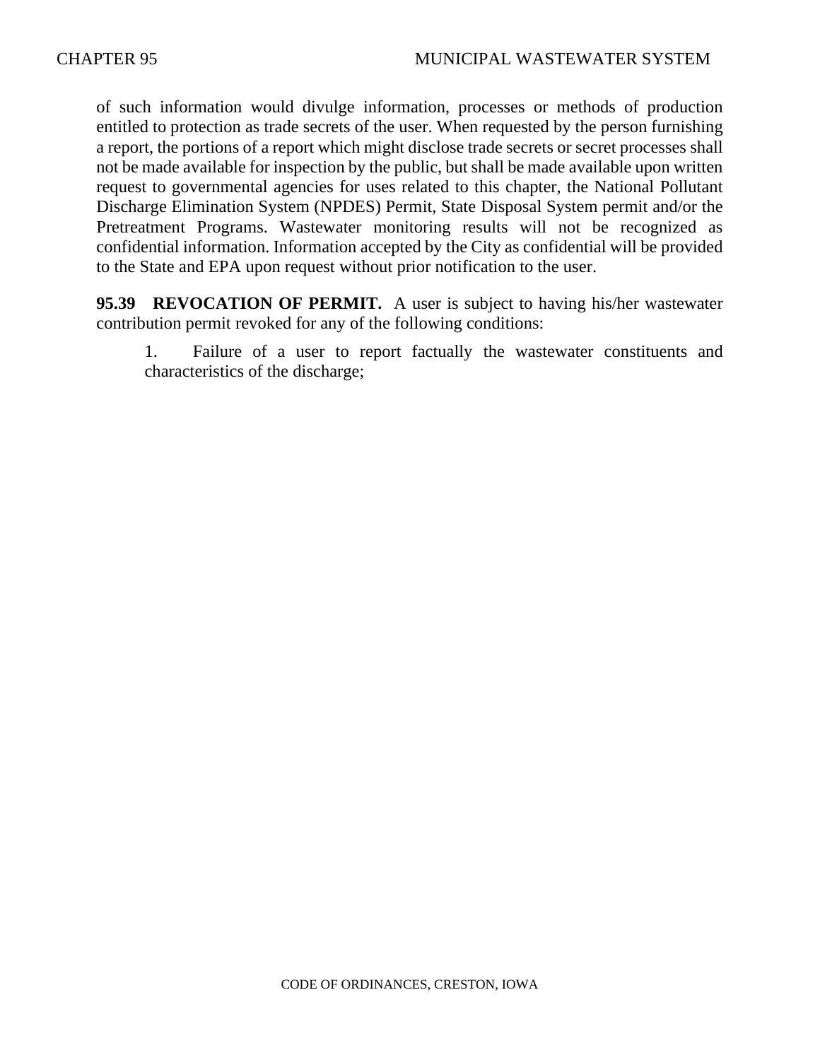of such information would divulge information, processes or methods of production entitled to protection as trade secrets of the user. When requested by the person furnishing a report, the portions of a report which might disclose trade secrets or secret processes shall not be made available for inspection by the public, but shall be made available upon written request to governmental agencies for uses related to this chapter, the National Pollutant Discharge Elimination System (NPDES) Permit, State Disposal System permit and/or the Pretreatment Programs. Wastewater monitoring results will not be recognized as confidential information. Information accepted by the City as confidential will be provided to the State and EPA upon request without prior notification to the user.

**95.39 REVOCATION OF PERMIT.** A user is subject to having his/her wastewater contribution permit revoked for any of the following conditions:

1. Failure of a user to report factually the wastewater constituents and characteristics of the discharge;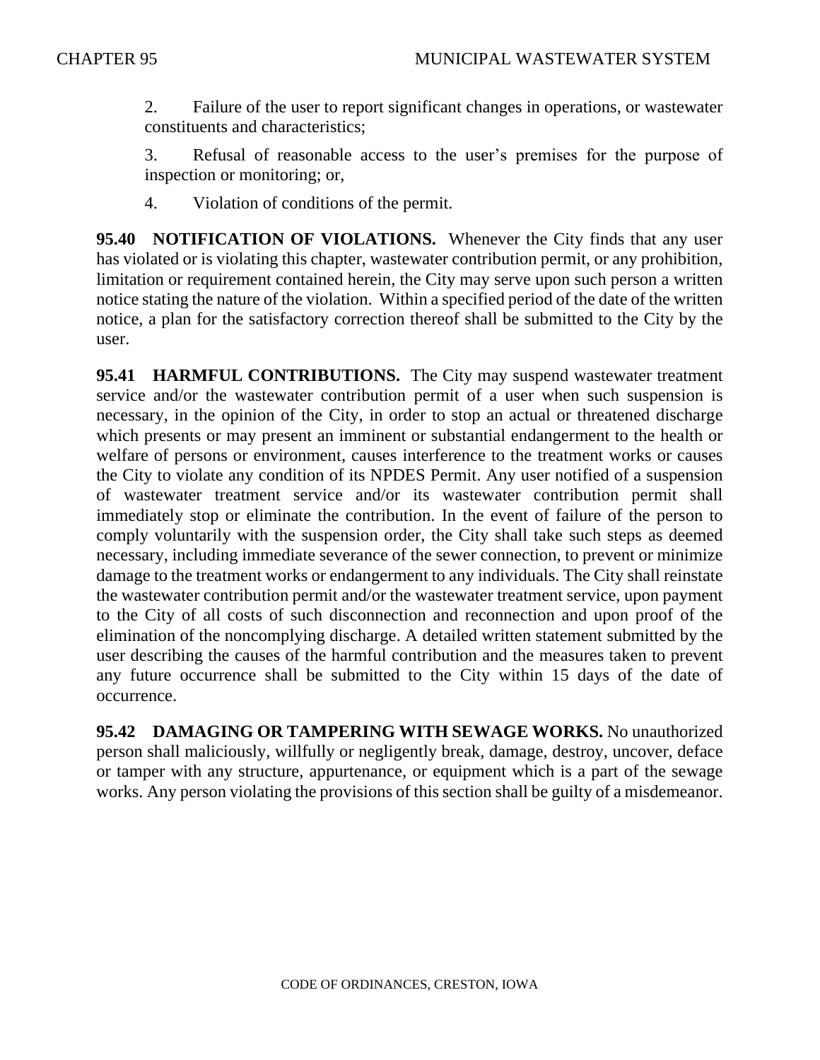2. Failure of the user to report significant changes in operations, or wastewater constituents and characteristics;

3. Refusal of reasonable access to the user's premises for the purpose of inspection or monitoring; or,

4. Violation of conditions of the permit.

**95.40 NOTIFICATION OF VIOLATIONS.** Whenever the City finds that any user has violated or is violating this chapter, wastewater contribution permit, or any prohibition, limitation or requirement contained herein, the City may serve upon such person a written notice stating the nature of the violation. Within a specified period of the date of the written notice, a plan for the satisfactory correction thereof shall be submitted to the City by the user.

**95.41 HARMFUL CONTRIBUTIONS.** The City may suspend wastewater treatment service and/or the wastewater contribution permit of a user when such suspension is necessary, in the opinion of the City, in order to stop an actual or threatened discharge which presents or may present an imminent or substantial endangerment to the health or welfare of persons or environment, causes interference to the treatment works or causes the City to violate any condition of its NPDES Permit. Any user notified of a suspension of wastewater treatment service and/or its wastewater contribution permit shall immediately stop or eliminate the contribution. In the event of failure of the person to comply voluntarily with the suspension order, the City shall take such steps as deemed necessary, including immediate severance of the sewer connection, to prevent or minimize damage to the treatment works or endangerment to any individuals. The City shall reinstate the wastewater contribution permit and/or the wastewater treatment service, upon payment to the City of all costs of such disconnection and reconnection and upon proof of the elimination of the noncomplying discharge. A detailed written statement submitted by the user describing the causes of the harmful contribution and the measures taken to prevent any future occurrence shall be submitted to the City within 15 days of the date of occurrence.

**95.42 DAMAGING OR TAMPERING WITH SEWAGE WORKS.** No unauthorized person shall maliciously, willfully or negligently break, damage, destroy, uncover, deface or tamper with any structure, appurtenance, or equipment which is a part of the sewage works. Any person violating the provisions of this section shall be guilty of a misdemeanor.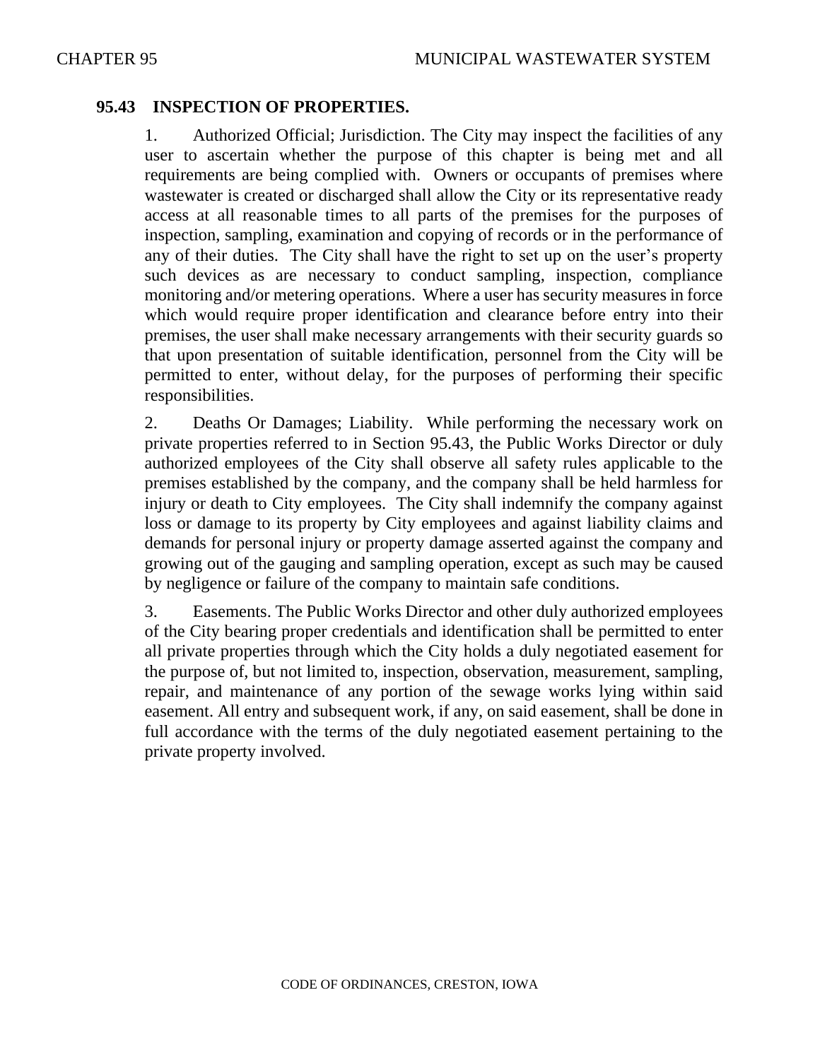### **95.43 INSPECTION OF PROPERTIES.**

1. Authorized Official; Jurisdiction. The City may inspect the facilities of any user to ascertain whether the purpose of this chapter is being met and all requirements are being complied with. Owners or occupants of premises where wastewater is created or discharged shall allow the City or its representative ready access at all reasonable times to all parts of the premises for the purposes of inspection, sampling, examination and copying of records or in the performance of any of their duties. The City shall have the right to set up on the user's property such devices as are necessary to conduct sampling, inspection, compliance monitoring and/or metering operations. Where a user has security measures in force which would require proper identification and clearance before entry into their premises, the user shall make necessary arrangements with their security guards so that upon presentation of suitable identification, personnel from the City will be permitted to enter, without delay, for the purposes of performing their specific responsibilities.

2. Deaths Or Damages; Liability. While performing the necessary work on private properties referred to in Section 95.43, the Public Works Director or duly authorized employees of the City shall observe all safety rules applicable to the premises established by the company, and the company shall be held harmless for injury or death to City employees. The City shall indemnify the company against loss or damage to its property by City employees and against liability claims and demands for personal injury or property damage asserted against the company and growing out of the gauging and sampling operation, except as such may be caused by negligence or failure of the company to maintain safe conditions.

3. Easements. The Public Works Director and other duly authorized employees of the City bearing proper credentials and identification shall be permitted to enter all private properties through which the City holds a duly negotiated easement for the purpose of, but not limited to, inspection, observation, measurement, sampling, repair, and maintenance of any portion of the sewage works lying within said easement. All entry and subsequent work, if any, on said easement, shall be done in full accordance with the terms of the duly negotiated easement pertaining to the private property involved.